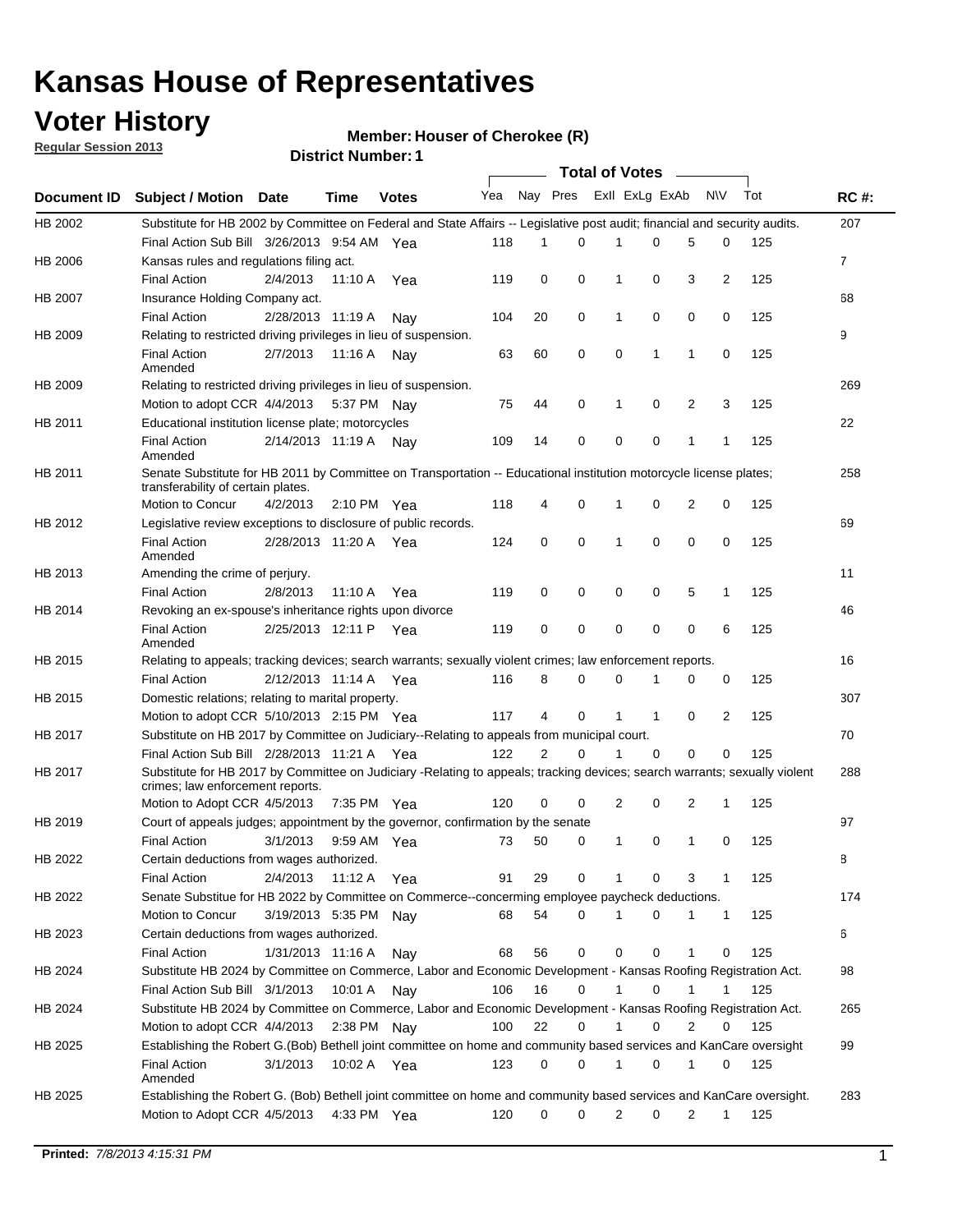## **Voter History**

**Member: Houser of Cherokee (R)** 

**Regular Session 2013**

|             |                                                                                                                                                                |                       |             |                       |     |                |          | <b>Total of Votes</b> |          | $\sim$      |              |     |             |
|-------------|----------------------------------------------------------------------------------------------------------------------------------------------------------------|-----------------------|-------------|-----------------------|-----|----------------|----------|-----------------------|----------|-------------|--------------|-----|-------------|
| Document ID | Subject / Motion Date                                                                                                                                          |                       | Time        | <b>Votes</b>          | Yea | Nay Pres       |          | Exll ExLg ExAb        |          |             | <b>NV</b>    | Tot | <b>RC#:</b> |
| HB 2002     | Substitute for HB 2002 by Committee on Federal and State Affairs -- Legislative post audit; financial and security audits.                                     |                       |             |                       |     |                |          |                       |          |             |              |     | 207         |
|             | Final Action Sub Bill 3/26/2013 9:54 AM Yea                                                                                                                    |                       |             |                       | 118 | 1              | 0        | 1                     | 0        | 5           | 0            | 125 |             |
| HB 2006     | Kansas rules and regulations filing act.                                                                                                                       |                       |             |                       |     |                |          |                       |          |             |              |     | 7           |
|             | <b>Final Action</b>                                                                                                                                            | 2/4/2013              |             | 11:10 A Yea           | 119 | 0              | 0        | 1                     | 0        | 3           | 2            | 125 |             |
| HB 2007     | Insurance Holding Company act.                                                                                                                                 |                       |             |                       |     |                |          |                       |          |             |              |     | 68          |
|             | <b>Final Action</b>                                                                                                                                            | 2/28/2013 11:19 A     |             | Nay                   | 104 | 20             | 0        | 1                     | 0        | 0           | 0            | 125 |             |
| HB 2009     | Relating to restricted driving privileges in lieu of suspension.                                                                                               |                       |             |                       |     |                |          |                       |          |             |              |     | 9           |
|             | <b>Final Action</b><br>Amended                                                                                                                                 | 2/7/2013              | 11:16 A     | Nav                   | 63  | 60             | 0        | 0                     | 1        | 1           | 0            | 125 |             |
| HB 2009     | Relating to restricted driving privileges in lieu of suspension.                                                                                               |                       |             |                       |     |                |          |                       |          |             |              |     | 269         |
|             | Motion to adopt CCR 4/4/2013                                                                                                                                   |                       | 5:37 PM Nav |                       | 75  | 44             | 0        | 1                     | 0        | 2           | 3            | 125 |             |
| HB 2011     | Educational institution license plate; motorcycles                                                                                                             |                       |             |                       |     |                |          |                       |          |             |              |     | 22          |
|             | <b>Final Action</b><br>Amended                                                                                                                                 | 2/14/2013 11:19 A     |             | Nay                   | 109 | 14             | 0        | 0                     | 0        | 1           | $\mathbf{1}$ | 125 |             |
| HB 2011     | Senate Substitute for HB 2011 by Committee on Transportation -- Educational institution motorcycle license plates;<br>transferability of certain plates.       |                       |             |                       |     |                |          |                       |          |             |              |     | 258         |
|             | Motion to Concur                                                                                                                                               | 4/2/2013              |             | $2:10 \text{ PM}$ Yea | 118 | 4              | 0        | 1                     | 0        | 2           | 0            | 125 |             |
| HB 2012     | Legislative review exceptions to disclosure of public records.                                                                                                 |                       |             |                       |     |                |          |                       |          |             |              |     | 69          |
|             | <b>Final Action</b><br>Amended                                                                                                                                 | 2/28/2013 11:20 A Yea |             |                       | 124 | 0              | 0        | $\mathbf{1}$          | 0        | 0           | 0            | 125 |             |
| HB 2013     | Amending the crime of perjury.                                                                                                                                 |                       |             |                       |     |                |          |                       |          |             |              |     | 11          |
|             | <b>Final Action</b>                                                                                                                                            | 2/8/2013              | 11:10A      | Yea                   | 119 | 0              | 0        | 0                     | 0        | 5           | 1            | 125 |             |
| HB 2014     | Revoking an ex-spouse's inheritance rights upon divorce                                                                                                        |                       |             |                       |     |                |          |                       |          |             |              |     | 46          |
|             | <b>Final Action</b><br>Amended                                                                                                                                 | 2/25/2013 12:11 P     |             | Yea                   | 119 | 0              | 0        | 0                     | 0        | 0           | 6            | 125 |             |
| HB 2015     | Relating to appeals; tracking devices; search warrants; sexually violent crimes; law enforcement reports.                                                      |                       |             |                       |     |                |          |                       |          |             |              |     | 16          |
|             | <b>Final Action</b>                                                                                                                                            | 2/12/2013 11:14 A Yea |             |                       | 116 | 8              | 0        | 0                     | 1        | 0           | 0            | 125 |             |
| HB 2015     | Domestic relations; relating to marital property.                                                                                                              |                       |             |                       |     |                |          |                       |          |             |              |     | 307         |
|             | Motion to adopt CCR 5/10/2013 2:15 PM Yea                                                                                                                      |                       |             |                       | 117 | $\overline{4}$ | 0        | 1                     | 1        | 0           | 2            | 125 |             |
| HB 2017     | Substitute on HB 2017 by Committee on Judiciary--Relating to appeals from municipal court.                                                                     |                       |             |                       |     |                |          |                       |          |             |              |     | 70          |
|             | Final Action Sub Bill 2/28/2013 11:21 A Yea                                                                                                                    |                       |             |                       | 122 | 2              | $\Omega$ | 1                     | $\Omega$ | $\Omega$    | 0            | 125 |             |
| HB 2017     | Substitute for HB 2017 by Committee on Judiciary -Relating to appeals; tracking devices; search warrants; sexually violent<br>crimes; law enforcement reports. |                       |             |                       |     |                |          |                       |          |             |              |     | 288         |
|             | Motion to Adopt CCR 4/5/2013                                                                                                                                   |                       | 7:35 PM Yea |                       | 120 | 0              | 0        | 2                     | 0        | 2           | 1            | 125 |             |
| HB 2019     | Court of appeals judges; appointment by the governor, confirmation by the senate                                                                               |                       |             |                       |     |                |          |                       |          |             |              |     | 97          |
|             | <b>Final Action</b>                                                                                                                                            | 3/1/2013              |             | 9:59 AM Yea           | 73  | 50             | 0        | 1                     | 0        | 1           | 0            | 125 |             |
| HB 2022     | Certain deductions from wages authorized.                                                                                                                      |                       |             |                       |     |                |          |                       |          |             |              |     | В           |
|             | <b>Final Action</b>                                                                                                                                            | 2/4/2013              | 11:12 A Yea |                       | 91  | 29             | 0        |                       | 0        | 3           | 1            | 125 |             |
| HB 2022     | Senate Substitue for HB 2022 by Committee on Commerce--concerming employee paycheck deductions.                                                                |                       |             |                       |     |                |          |                       |          |             |              |     | 174         |
|             | Motion to Concur                                                                                                                                               | 3/19/2013 5:35 PM Nay |             |                       | 68  | 54             | 0        | 1                     | 0        | 1           | 1            | 125 |             |
| HB 2023     | Certain deductions from wages authorized.                                                                                                                      |                       |             |                       |     |                |          |                       |          |             |              |     | 6           |
|             | <b>Final Action</b>                                                                                                                                            | 1/31/2013 11:16 A     |             | Nay                   | 68  | 56             | 0        | 0                     | 0        | 1           | 0            | 125 |             |
| HB 2024     | Substitute HB 2024 by Committee on Commerce, Labor and Economic Development - Kansas Roofing Registration Act.                                                 |                       |             |                       |     |                |          |                       |          |             |              |     | 98          |
|             | Final Action Sub Bill 3/1/2013                                                                                                                                 |                       | 10:01 A Nay |                       | 106 | 16             | 0        | 1                     | 0        | 1           |              | 125 |             |
| HB 2024     | Substitute HB 2024 by Committee on Commerce, Labor and Economic Development - Kansas Roofing Registration Act.                                                 |                       |             |                       |     |                |          |                       |          |             |              |     | 265         |
|             | Motion to adopt CCR 4/4/2013                                                                                                                                   |                       | 2:38 PM Nay |                       | 100 | 22             | 0        |                       | 0        | 2           | 0            | 125 |             |
| HB 2025     | Establishing the Robert G.(Bob) Bethell joint committee on home and community based services and KanCare oversight                                             |                       |             |                       |     |                |          |                       |          |             |              |     | 99          |
|             | <b>Final Action</b><br>Amended                                                                                                                                 | 3/1/2013              |             | 10:02 A Yea           | 123 | 0              | 0        | 1                     | 0        | $\mathbf 1$ | 0            | 125 |             |
| HB 2025     | Establishing the Robert G. (Bob) Bethell joint committee on home and community based services and KanCare oversight.                                           |                       |             |                       |     |                |          |                       |          |             |              |     | 283         |
|             | Motion to Adopt CCR 4/5/2013                                                                                                                                   |                       |             | 4:33 PM Yea           | 120 | 0              | 0        | 2                     | 0        | 2           | 1            | 125 |             |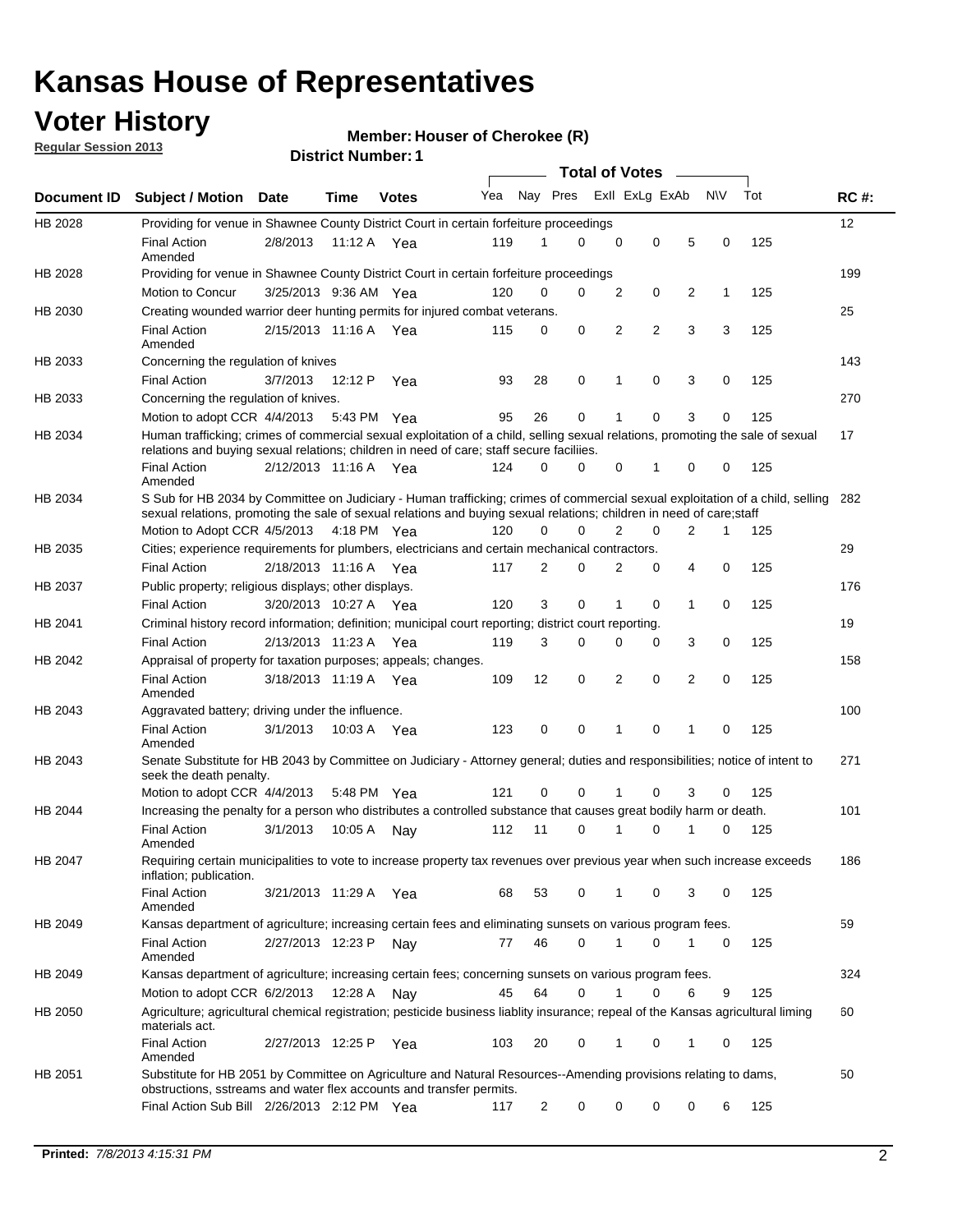## **Voter History**

**Member: Houser of Cherokee (R)** 

**Regular Session 2013**

|             |                                                                                                                                                                                                                                                        |                       | ו וסטוווטרו ויטוווט |              |     |                         | <b>Total of Votes</b> |   |   |                |           |     |     |
|-------------|--------------------------------------------------------------------------------------------------------------------------------------------------------------------------------------------------------------------------------------------------------|-----------------------|---------------------|--------------|-----|-------------------------|-----------------------|---|---|----------------|-----------|-----|-----|
| Document ID | <b>Subject / Motion</b>                                                                                                                                                                                                                                | Date                  | Time                | <b>Votes</b> | Yea | Nay Pres Exll ExLg ExAb |                       |   |   |                | <b>NV</b> | Tot | RC# |
| HB 2028     | Providing for venue in Shawnee County District Court in certain forfeiture proceedings                                                                                                                                                                 |                       |                     |              |     |                         |                       |   |   |                |           |     | 12  |
|             | <b>Final Action</b><br>Amended                                                                                                                                                                                                                         | 2/8/2013              | 11:12 A Yea         |              | 119 | 1                       | 0                     | 0 | 0 | 5              | 0         | 125 |     |
| HB 2028     | Providing for venue in Shawnee County District Court in certain forfeiture proceedings                                                                                                                                                                 |                       |                     |              |     |                         |                       |   |   |                |           |     | 199 |
|             | <b>Motion to Concur</b>                                                                                                                                                                                                                                | 3/25/2013 9:36 AM Yea |                     |              | 120 | 0                       | 0                     | 2 | 0 | 2              | 1         | 125 |     |
| HB 2030     | Creating wounded warrior deer hunting permits for injured combat veterans.                                                                                                                                                                             |                       |                     |              |     |                         |                       |   |   |                |           |     | 25  |
|             | <b>Final Action</b><br>Amended                                                                                                                                                                                                                         | 2/15/2013 11:16 A     |                     | Yea          | 115 | 0                       | 0                     | 2 | 2 | 3              | 3         | 125 |     |
| HB 2033     | Concerning the regulation of knives                                                                                                                                                                                                                    |                       |                     |              |     |                         |                       |   |   |                |           |     | 143 |
|             | <b>Final Action</b>                                                                                                                                                                                                                                    | 3/7/2013              | 12:12 P             | Yea          | 93  | 28                      | 0                     | 1 | 0 | 3              | 0         | 125 |     |
| HB 2033     | Concerning the regulation of knives.                                                                                                                                                                                                                   |                       |                     |              |     |                         |                       |   |   |                |           |     | 270 |
|             | Motion to adopt CCR 4/4/2013                                                                                                                                                                                                                           |                       | 5:43 PM Yea         |              | 95  | 26                      | 0                     |   | 0 | 3              | 0         | 125 |     |
| HB 2034     | Human trafficking; crimes of commercial sexual exploitation of a child, selling sexual relations, promoting the sale of sexual<br>relations and buying sexual relations; children in need of care; staff secure faciliies.                             |                       |                     |              |     |                         |                       |   |   |                |           |     | 17  |
|             | <b>Final Action</b><br>Amended                                                                                                                                                                                                                         | 2/12/2013 11:16 A Yea |                     |              | 124 | 0                       | 0                     | 0 | 1 | 0              | 0         | 125 |     |
| HB 2034     | S Sub for HB 2034 by Committee on Judiciary - Human trafficking; crimes of commercial sexual exploitation of a child, selling<br>sexual relations, promoting the sale of sexual relations and buying sexual relations; children in need of care; staff |                       |                     |              |     |                         |                       |   |   |                |           |     | 282 |
|             | Motion to Adopt CCR 4/5/2013 4:18 PM Yea                                                                                                                                                                                                               |                       |                     |              | 120 | 0                       | $\Omega$              | 2 | 0 | $\overline{2}$ | 1         | 125 |     |
| HB 2035     | Cities; experience requirements for plumbers, electricians and certain mechanical contractors.                                                                                                                                                         |                       |                     |              |     |                         |                       |   |   |                |           |     | 29  |
|             | <b>Final Action</b>                                                                                                                                                                                                                                    | 2/18/2013 11:16 A     |                     | Yea          | 117 | 2                       | 0                     | 2 | 0 | 4              | 0         | 125 |     |
| HB 2037     | Public property; religious displays; other displays.                                                                                                                                                                                                   |                       |                     |              |     |                         |                       |   |   |                |           |     | 176 |
|             | <b>Final Action</b>                                                                                                                                                                                                                                    | 3/20/2013 10:27 A Yea |                     |              | 120 | 3                       | 0                     | 1 | 0 | $\mathbf{1}$   | 0         | 125 |     |
| HB 2041     | Criminal history record information; definition; municipal court reporting; district court reporting.                                                                                                                                                  |                       |                     |              |     |                         |                       |   |   |                |           |     | 19  |
|             | <b>Final Action</b>                                                                                                                                                                                                                                    | 2/13/2013 11:23 A     |                     | Yea          | 119 | 3                       | 0                     | 0 | 0 | 3              | 0         | 125 |     |
| HB 2042     | Appraisal of property for taxation purposes; appeals; changes.                                                                                                                                                                                         |                       |                     |              |     |                         |                       |   |   |                |           |     | 158 |
|             | <b>Final Action</b><br>Amended                                                                                                                                                                                                                         | 3/18/2013 11:19 A Yea |                     |              | 109 | 12                      | 0                     | 2 | 0 | 2              | 0         | 125 |     |
| HB 2043     | Aggravated battery; driving under the influence.                                                                                                                                                                                                       |                       |                     |              |     |                         |                       |   |   |                |           |     | 100 |
|             | <b>Final Action</b><br>Amended                                                                                                                                                                                                                         | 3/1/2013              | 10:03 A Yea         |              | 123 | 0                       | 0                     | 1 | 0 | 1              | 0         | 125 |     |
| HB 2043     | Senate Substitute for HB 2043 by Committee on Judiciary - Attorney general; duties and responsibilities; notice of intent to<br>seek the death penalty.                                                                                                |                       |                     |              |     |                         |                       |   |   |                |           |     | 271 |
|             | Motion to adopt CCR 4/4/2013                                                                                                                                                                                                                           |                       | 5:48 PM             | Yea          | 121 | 0                       | 0                     |   | 0 | 3              | 0         | 125 |     |
| HB 2044     | Increasing the penalty for a person who distributes a controlled substance that causes great bodily harm or death.                                                                                                                                     |                       |                     |              |     |                         |                       |   |   |                |           |     | 101 |
|             | <b>Final Action</b><br>Amended                                                                                                                                                                                                                         | 3/1/2013              | 10:05 A             | Nav          | 112 | 11                      | $\Omega$              |   | 0 |                | 0         | 125 |     |
| HB 2047     | Requiring certain municipalities to vote to increase property tax revenues over previous year when such increase exceeds<br>inflation; publication.                                                                                                    |                       |                     |              |     |                         |                       |   |   |                |           |     | 186 |
|             | <b>Final Action</b><br>Amended                                                                                                                                                                                                                         | 3/21/2013 11:29 A Yea |                     |              | 68  | 53                      | 0                     | 1 | 0 | 3              | 0         | 125 |     |
| HB 2049     | Kansas department of agriculture; increasing certain fees and eliminating sunsets on various program fees.                                                                                                                                             |                       |                     |              |     |                         |                       |   |   |                |           |     | 59  |
|             | <b>Final Action</b><br>Amended                                                                                                                                                                                                                         | 2/27/2013 12:23 P     |                     | Nay          | 77  | 46                      | $\Omega$              | 1 | 0 | 1              | 0         | 125 |     |
| HB 2049     | Kansas department of agriculture; increasing certain fees; concerning sunsets on various program fees.                                                                                                                                                 |                       |                     |              |     |                         |                       |   |   |                |           |     | 324 |
|             | Motion to adopt CCR 6/2/2013                                                                                                                                                                                                                           |                       | 12:28 A             | Nay          | 45  | 64                      | 0                     |   | 0 | 6              | 9         | 125 |     |
| HB 2050     | Agriculture; agricultural chemical registration; pesticide business liablity insurance; repeal of the Kansas agricultural liming<br>materials act.                                                                                                     |                       |                     |              |     |                         |                       |   |   |                |           |     | 60  |
|             | <b>Final Action</b><br>Amended                                                                                                                                                                                                                         | 2/27/2013 12:25 P     |                     | Yea          | 103 | 20                      | 0                     | 1 | 0 | 1              | 0         | 125 |     |
| HB 2051     | Substitute for HB 2051 by Committee on Agriculture and Natural Resources--Amending provisions relating to dams,<br>obstructions, sstreams and water flex accounts and transfer permits.                                                                |                       |                     |              |     |                         |                       |   |   |                |           |     | 50  |
|             | Final Action Sub Bill 2/26/2013 2:12 PM Yea                                                                                                                                                                                                            |                       |                     |              | 117 | 2                       | 0                     | 0 | 0 | 0              | 6         | 125 |     |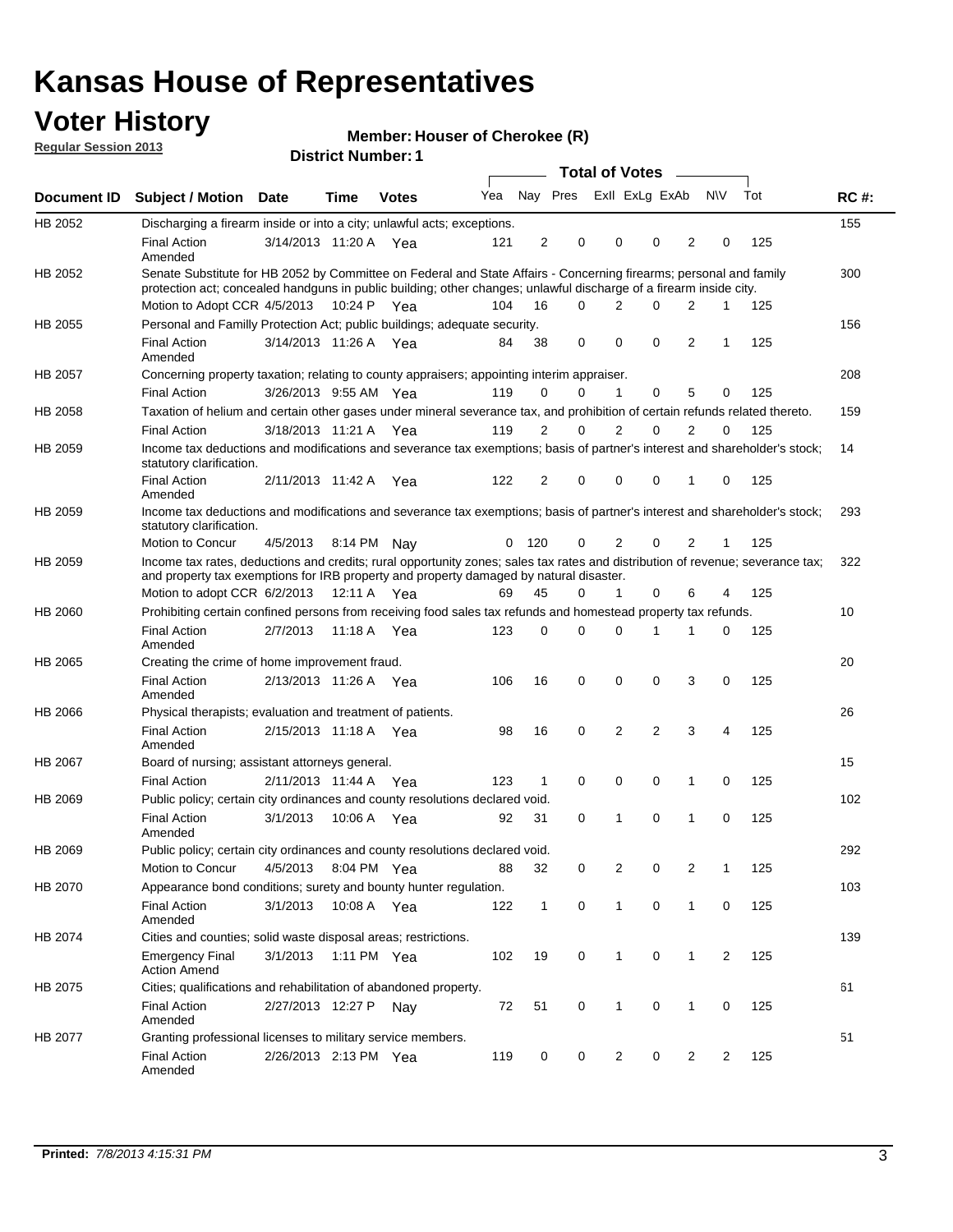## **Voter History**

**Member: Houser of Cherokee (R)** 

| <b>Regular Session 2013</b> |                                                                                                                                                                                                                          |                       |                           |              | <b>INIGHTING!</b> TO USE OF CHEIORES (R) |              |          |                |                                         |              |           |     |             |
|-----------------------------|--------------------------------------------------------------------------------------------------------------------------------------------------------------------------------------------------------------------------|-----------------------|---------------------------|--------------|------------------------------------------|--------------|----------|----------------|-----------------------------------------|--------------|-----------|-----|-------------|
|                             |                                                                                                                                                                                                                          |                       | <b>District Number: 1</b> |              |                                          |              |          |                |                                         |              |           |     |             |
| Document ID                 | <b>Subject / Motion</b>                                                                                                                                                                                                  | Date                  | Time                      | <b>Votes</b> | Yea                                      |              | Nay Pres |                | <b>Total of Votes</b><br>Exll ExLg ExAb | $\sim$       | <b>NV</b> | Tot | <b>RC#:</b> |
|                             |                                                                                                                                                                                                                          |                       |                           |              |                                          |              |          |                |                                         |              |           |     |             |
| HB 2052                     | Discharging a firearm inside or into a city; unlawful acts; exceptions.                                                                                                                                                  |                       |                           |              |                                          |              |          |                |                                         |              |           |     | 155         |
|                             | <b>Final Action</b><br>Amended                                                                                                                                                                                           | 3/14/2013 11:20 A Yea |                           |              | 121                                      | 2            | 0        | 0              | 0                                       | 2            | 0         | 125 |             |
| HB 2052                     | Senate Substitute for HB 2052 by Committee on Federal and State Affairs - Concerning firearms; personal and family                                                                                                       |                       |                           |              |                                          |              |          |                |                                         |              |           |     | 300         |
|                             | protection act; concealed handguns in public building; other changes; unlawful discharge of a firearm inside city.                                                                                                       |                       |                           |              |                                          |              |          |                |                                         |              |           |     |             |
|                             | Motion to Adopt CCR 4/5/2013                                                                                                                                                                                             |                       | 10:24 P                   | Yea          | 104                                      | 16           | 0        | 2              | 0                                       | 2            | 1         | 125 |             |
| HB 2055                     | Personal and Familly Protection Act; public buildings; adequate security.                                                                                                                                                |                       |                           |              |                                          |              |          |                |                                         |              |           |     | 156         |
|                             | <b>Final Action</b><br>Amended                                                                                                                                                                                           | 3/14/2013 11:26 A     |                           | Yea          | 84                                       | 38           | 0        | 0              | 0                                       | 2            | 1         | 125 |             |
| HB 2057                     | Concerning property taxation; relating to county appraisers; appointing interim appraiser.                                                                                                                               |                       |                           |              |                                          |              |          |                |                                         |              |           |     | 208         |
|                             | <b>Final Action</b>                                                                                                                                                                                                      | 3/26/2013 9:55 AM Yea |                           |              | 119                                      | 0            | 0        | 1              | 0                                       | 5            | 0         | 125 |             |
| HB 2058                     | Taxation of helium and certain other gases under mineral severance tax, and prohibition of certain refunds related thereto.                                                                                              |                       |                           |              |                                          |              |          |                |                                         |              |           |     | 159         |
|                             | <b>Final Action</b>                                                                                                                                                                                                      | 3/18/2013 11:21 A Yea |                           |              | 119                                      | 2            | 0        | $\overline{2}$ | 0                                       | 2            | $\Omega$  | 125 |             |
| HB 2059                     | Income tax deductions and modifications and severance tax exemptions; basis of partner's interest and shareholder's stock;<br>statutory clarification.                                                                   |                       |                           |              |                                          |              |          |                |                                         |              |           |     | 14          |
|                             | <b>Final Action</b><br>Amended                                                                                                                                                                                           | 2/11/2013 11:42 A     |                           | Yea          | 122                                      | 2            | 0        | 0              | 0                                       | 1            | 0         | 125 |             |
| HB 2059                     | Income tax deductions and modifications and severance tax exemptions; basis of partner's interest and shareholder's stock;<br>statutory clarification.                                                                   |                       |                           |              |                                          |              |          |                |                                         |              |           |     | 293         |
|                             | Motion to Concur                                                                                                                                                                                                         | 4/5/2013              |                           | 8:14 PM Nay  | 0                                        | 120          | 0        | $\overline{2}$ | 0                                       | 2            | 1         | 125 |             |
| HB 2059                     | Income tax rates, deductions and credits; rural opportunity zones; sales tax rates and distribution of revenue; severance tax;<br>and property tax exemptions for IRB property and property damaged by natural disaster. |                       |                           |              |                                          |              |          |                |                                         |              |           |     | 322         |
|                             | Motion to adopt CCR $6/2/2013$ 12:11 A Yea                                                                                                                                                                               |                       |                           |              | 69                                       | 45           | 0        | 1              | 0                                       | 6            | 4         | 125 |             |
| HB 2060                     | Prohibiting certain confined persons from receiving food sales tax refunds and homestead property tax refunds.                                                                                                           |                       |                           |              |                                          |              |          |                |                                         |              |           |     | 10          |
|                             | <b>Final Action</b><br>Amended                                                                                                                                                                                           | 2/7/2013              | 11:18 A Yea               |              | 123                                      | 0            | 0        | $\Omega$       |                                         | 1            | 0         | 125 |             |
| HB 2065                     | Creating the crime of home improvement fraud.                                                                                                                                                                            |                       |                           |              |                                          |              |          |                |                                         |              |           |     | 20          |
|                             | <b>Final Action</b><br>Amended                                                                                                                                                                                           | 2/13/2013 11:26 A Yea |                           |              | 106                                      | 16           | 0        | 0              | 0                                       | 3            | 0         | 125 |             |
| HB 2066                     | Physical therapists; evaluation and treatment of patients.                                                                                                                                                               |                       |                           |              |                                          |              |          |                |                                         |              |           |     | 26          |
|                             | <b>Final Action</b><br>Amended                                                                                                                                                                                           | 2/15/2013 11:18 A Yea |                           |              | 98                                       | 16           | 0        | 2              | $\overline{2}$                          | 3            | 4         | 125 |             |
| HB 2067                     | Board of nursing; assistant attorneys general.                                                                                                                                                                           |                       |                           |              |                                          |              |          |                |                                         |              |           |     | 15          |
|                             | <b>Final Action</b>                                                                                                                                                                                                      | 2/11/2013 11:44 A Yea |                           |              | 123                                      | 1            | 0        | 0              | 0                                       | 1            | 0         | 125 |             |
| HB 2069                     | Public policy; certain city ordinances and county resolutions declared void.                                                                                                                                             |                       |                           |              |                                          |              |          |                |                                         |              |           |     | 102         |
|                             | <b>Final Action</b><br>Amended                                                                                                                                                                                           | 3/1/2013              |                           | 10:06 A Yea  | 92                                       | 31           | 0        | 1              | 0                                       | 1            | 0         | 125 |             |
| HB 2069                     | Public policy; certain city ordinances and county resolutions declared void.                                                                                                                                             |                       |                           |              |                                          |              |          |                |                                         |              |           |     | 292         |
|                             | Motion to Concur                                                                                                                                                                                                         | 4/5/2013 8:04 PM Yea  |                           |              | 88                                       | 32           | 0        | 2              | 0                                       | 2            | 1         | 125 |             |
| HB 2070                     | Appearance bond conditions; surety and bounty hunter regulation.                                                                                                                                                         |                       |                           |              |                                          |              |          |                |                                         |              |           |     | 103         |
|                             | <b>Final Action</b><br>Amended                                                                                                                                                                                           | 3/1/2013              | 10:08 A Yea               |              | 122                                      | $\mathbf{1}$ | 0        | 1              | 0                                       | 1            | 0         | 125 |             |
| HB 2074                     | Cities and counties; solid waste disposal areas; restrictions.                                                                                                                                                           |                       |                           |              |                                          |              |          |                |                                         |              |           |     | 139         |
|                             | <b>Emergency Final</b><br><b>Action Amend</b>                                                                                                                                                                            | 3/1/2013              | 1:11 PM Yea               |              | 102                                      | 19           | 0        | 1              | 0                                       | $\mathbf{1}$ | 2         | 125 |             |
| HB 2075                     | Cities; qualifications and rehabilitation of abandoned property.                                                                                                                                                         |                       |                           |              |                                          |              |          |                |                                         |              |           |     | 61          |
|                             | <b>Final Action</b><br>Amended                                                                                                                                                                                           | 2/27/2013 12:27 P     |                           | Nay          | 72                                       | 51           | 0        | $\mathbf{1}$   | 0                                       | 1            | 0         | 125 |             |
| HB 2077                     | Granting professional licenses to military service members.                                                                                                                                                              |                       |                           |              |                                          |              |          |                |                                         |              |           |     | 51          |
|                             | <b>Final Action</b><br>Amended                                                                                                                                                                                           | 2/26/2013 2:13 PM Yea |                           |              | 119                                      | 0            | 0        | 2              | 0                                       | 2            | 2         | 125 |             |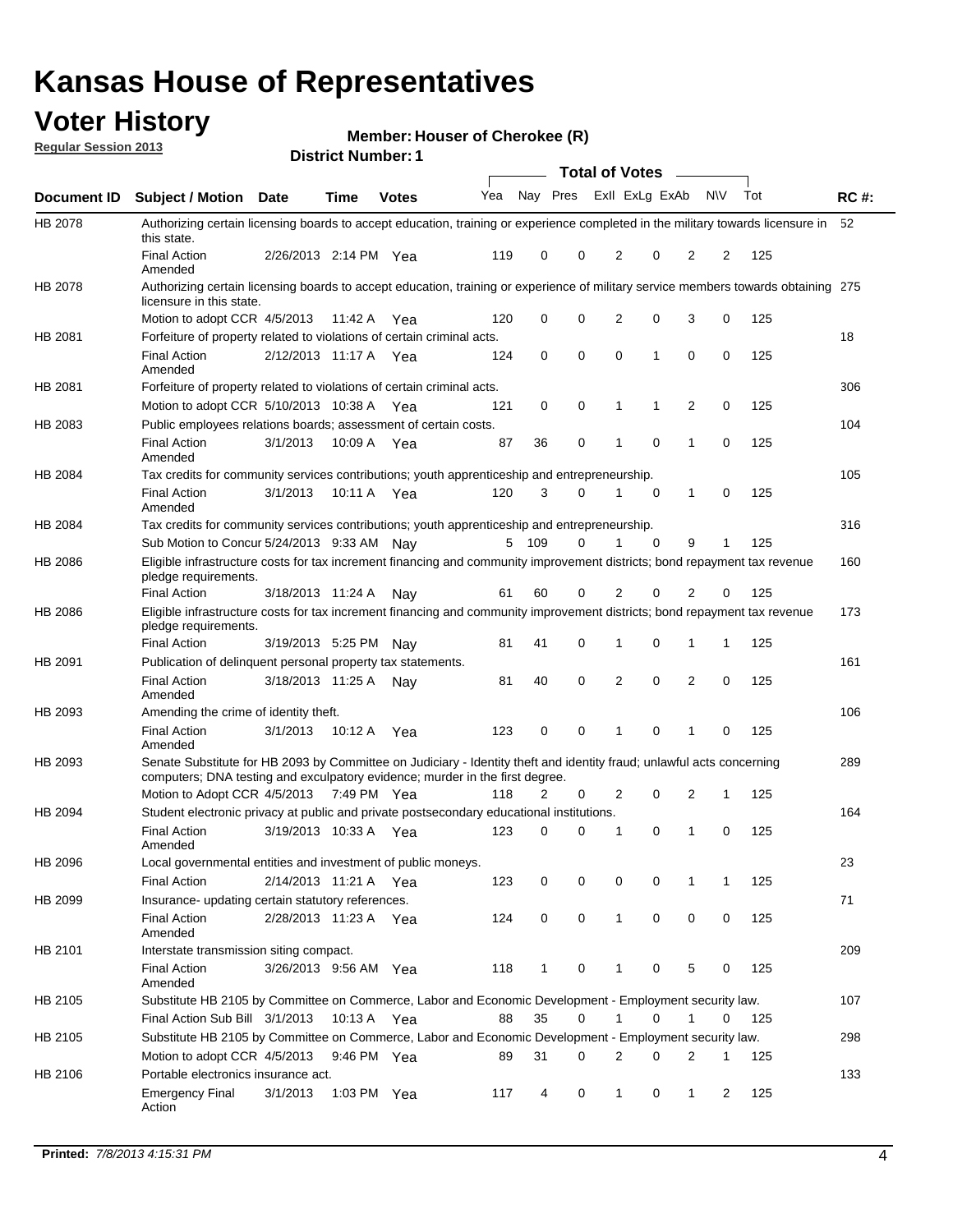# **Voter History**<br> **Megular Session 2013**

**Member: Houser of Cherokee (R)** 

| <b>Regular Session 2013</b> |                                                                                                                                                                                                       |                       |                           | <b>INGITION: LOUSEL OF CHELOKEE (K)</b> |     |       |             |                |                         |                |              |            |             |
|-----------------------------|-------------------------------------------------------------------------------------------------------------------------------------------------------------------------------------------------------|-----------------------|---------------------------|-----------------------------------------|-----|-------|-------------|----------------|-------------------------|----------------|--------------|------------|-------------|
|                             |                                                                                                                                                                                                       |                       | <b>District Number: 1</b> |                                         |     |       |             |                | Total of Votes –        |                |              |            |             |
| Document ID                 | <b>Subject / Motion</b>                                                                                                                                                                               | Date                  | Time                      | <b>Votes</b>                            | Yea |       |             |                | Nay Pres ExII ExLg ExAb |                | N\V          | Tot        | <b>RC#:</b> |
| HB 2078                     | Authorizing certain licensing boards to accept education, training or experience completed in the military towards licensure in<br>this state.                                                        |                       |                           |                                         |     |       |             |                |                         |                |              |            | - 52        |
|                             | <b>Final Action</b><br>Amended                                                                                                                                                                        | 2/26/2013 2:14 PM Yea |                           |                                         | 119 | 0     | 0           | 2              | 0                       | $\overline{2}$ | 2            | 125        |             |
| HB 2078                     | Authorizing certain licensing boards to accept education, training or experience of military service members towards obtaining 275<br>licensure in this state.                                        |                       |                           |                                         |     |       |             |                |                         |                |              |            |             |
|                             | Motion to adopt CCR 4/5/2013                                                                                                                                                                          |                       | 11:42 A                   | Yea                                     | 120 | 0     | 0           | 2              | 0                       | 3              | 0            | 125        |             |
| HB 2081                     | Forfeiture of property related to violations of certain criminal acts.                                                                                                                                |                       |                           |                                         |     |       |             |                |                         |                |              |            | 18          |
|                             | <b>Final Action</b><br>Amended                                                                                                                                                                        | 2/12/2013 11:17 A Yea |                           |                                         | 124 | 0     | 0           | 0              | $\mathbf 1$             | 0              | 0            | 125        |             |
| HB 2081                     | Forfeiture of property related to violations of certain criminal acts.                                                                                                                                |                       |                           |                                         |     |       |             |                |                         |                |              |            | 306         |
|                             | Motion to adopt CCR 5/10/2013 10:38 A                                                                                                                                                                 |                       |                           | Yea                                     | 121 | 0     | 0           | 1              | 1                       | $\overline{2}$ | 0            | 125        |             |
| HB 2083                     | Public employees relations boards; assessment of certain costs.                                                                                                                                       |                       |                           |                                         |     |       |             |                |                         |                |              |            | 104         |
|                             | Final Action<br>Amended                                                                                                                                                                               | 3/1/2013              | 10:09 A                   | Yea                                     | 87  | 36    | 0           | 1              | 0                       | $\mathbf{1}$   | 0            | 125        |             |
| HB 2084                     | Tax credits for community services contributions; youth apprenticeship and entrepreneurship.                                                                                                          |                       |                           |                                         |     |       |             |                |                         |                |              |            | 105         |
|                             | <b>Final Action</b><br>Amended                                                                                                                                                                        | 3/1/2013              | 10:11 A                   | Yea                                     | 120 | 3     | 0           | 1              | 0                       | 1              | 0            | 125        |             |
| <b>HB 2084</b>              | Tax credits for community services contributions; youth apprenticeship and entrepreneurship.                                                                                                          |                       |                           |                                         |     |       |             |                |                         |                |              |            | 316         |
|                             | Sub Motion to Concur 5/24/2013 9:33 AM Nay                                                                                                                                                            |                       |                           |                                         |     | 5 109 | 0           | 1              | $\Omega$                | 9              | 1            | 125        |             |
| HB 2086                     | Eligible infrastructure costs for tax increment financing and community improvement districts; bond repayment tax revenue<br>pledge requirements.                                                     |                       |                           |                                         |     |       |             |                |                         |                |              |            | 160         |
|                             | <b>Final Action</b>                                                                                                                                                                                   | 3/18/2013 11:24 A     |                           | Nav                                     | 61  | 60    | 0           | 2              | 0                       | $\overline{2}$ | 0            | 125        |             |
| HB 2086                     | Eligible infrastructure costs for tax increment financing and community improvement districts; bond repayment tax revenue<br>pledge requirements.                                                     |                       |                           |                                         |     |       |             |                |                         |                |              |            | 173         |
|                             | <b>Final Action</b>                                                                                                                                                                                   | 3/19/2013 5:25 PM Nay |                           |                                         | 81  | 41    | 0           | 1              | 0                       | 1              | 1            | 125        |             |
| HB 2091                     | Publication of delinquent personal property tax statements.                                                                                                                                           |                       |                           |                                         |     |       |             |                |                         |                |              |            | 161         |
|                             | <b>Final Action</b><br>Amended                                                                                                                                                                        | 3/18/2013 11:25 A     |                           | Nav                                     | 81  | 40    | $\mathbf 0$ | $\overline{2}$ | $\mathbf 0$             | $\overline{2}$ | 0            | 125        |             |
| HB 2093                     | Amending the crime of identity theft.                                                                                                                                                                 |                       |                           |                                         |     |       |             |                |                         |                |              |            | 106         |
|                             | <b>Final Action</b><br>Amended                                                                                                                                                                        | 3/1/2013              | 10:12 A                   | Yea                                     | 123 | 0     | 0           | 1              | 0                       | 1              | 0            | 125        |             |
| HB 2093                     | Senate Substitute for HB 2093 by Committee on Judiciary - Identity theft and identity fraud; unlawful acts concerning<br>computers; DNA testing and exculpatory evidence; murder in the first degree. |                       |                           |                                         |     |       |             |                |                         |                |              |            | 289         |
|                             | Motion to Adopt CCR 4/5/2013 7:49 PM Yea                                                                                                                                                              |                       |                           |                                         | 118 | 2     | 0           | 2              | 0                       | 2              | 1            | 125        |             |
| HB 2094                     | Student electronic privacy at public and private postsecondary educational institutions.                                                                                                              |                       |                           |                                         |     |       |             |                |                         |                |              |            | 164         |
|                             | Final Action 3/19/2013 10:33 A Yea 123 0 0 1<br>Amended                                                                                                                                               |                       |                           |                                         |     |       |             |                | $\overline{0}$          | $\mathbf{1}$   |              | $0 \t 125$ |             |
| HB 2096                     | Local governmental entities and investment of public moneys.                                                                                                                                          |                       |                           |                                         |     |       |             |                |                         |                |              |            | 23          |
|                             | <b>Final Action</b>                                                                                                                                                                                   | 2/14/2013 11:21 A Yea |                           |                                         | 123 | 0     | 0           | 0              | 0                       | $\mathbf{1}$   | $\mathbf{1}$ | 125        |             |
| HB 2099                     | Insurance- updating certain statutory references.<br><b>Final Action</b>                                                                                                                              | 2/28/2013 11:23 A Yea |                           |                                         | 124 | 0     | $\mathbf 0$ | $\mathbf{1}$   | 0                       | 0              | 0            | 125        | 71          |
| HB 2101                     | Amended<br>Interstate transmission siting compact.                                                                                                                                                    |                       |                           |                                         |     |       |             |                |                         |                |              |            | 209         |
|                             | <b>Final Action</b>                                                                                                                                                                                   | 3/26/2013 9:56 AM Yea |                           |                                         | 118 | 1     | 0           | 1              | 0                       | 5              | 0            | 125        |             |
| HB 2105                     | Amended<br>Substitute HB 2105 by Committee on Commerce, Labor and Economic Development - Employment security law.                                                                                     |                       |                           |                                         |     |       |             |                |                         |                |              |            | 107         |
|                             | Final Action Sub Bill 3/1/2013                                                                                                                                                                        |                       | 10:13 A                   | Yea                                     | 88  | 35    | 0           | 1              | 0                       | 1              | 0            | 125        |             |
| HB 2105                     | Substitute HB 2105 by Committee on Commerce, Labor and Economic Development - Employment security law.                                                                                                |                       |                           |                                         |     |       |             |                |                         |                |              |            | 298         |
|                             | Motion to adopt CCR 4/5/2013                                                                                                                                                                          |                       |                           | 9:46 PM Yea                             | 89  | 31    | 0           | 2              | 0                       | 2              | 1            | 125        |             |
| HB 2106                     | Portable electronics insurance act.                                                                                                                                                                   |                       |                           |                                         |     |       |             |                |                         |                |              |            | 133         |
|                             | <b>Emergency Final</b><br>Action                                                                                                                                                                      | 3/1/2013              |                           | 1:03 PM Yea                             | 117 | 4     | 0           | $\mathbf{1}$   | 0                       | $\mathbf{1}$   | 2            | 125        |             |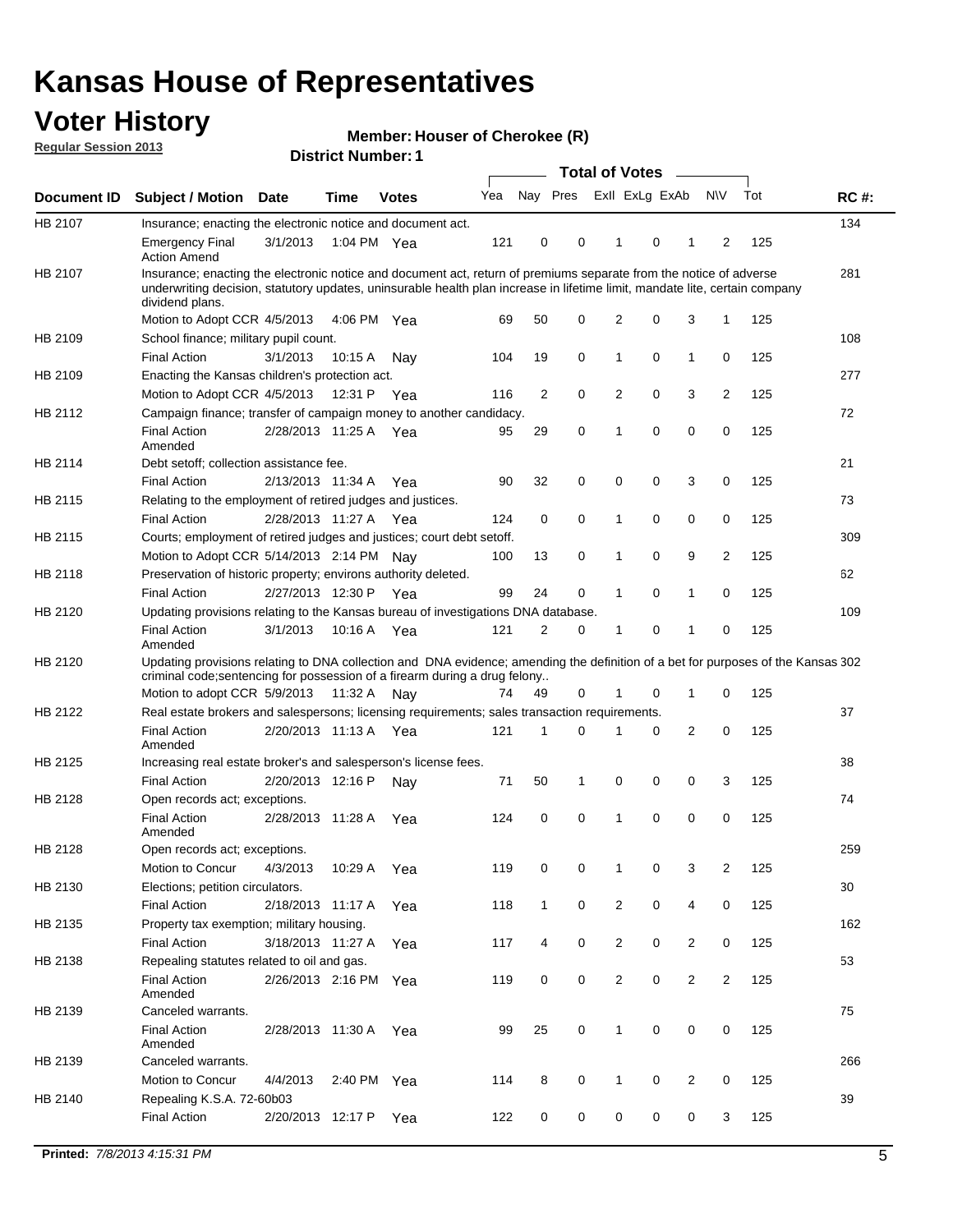## **Voter History**

**Member: Houser of Cherokee (R)** 

**Regular Session 2013**

|             |                                                                                                                                                                                                                                                                      |                       | ו וסעוווטנו שנווסו |              |     |                | <b>Total of Votes</b> |                |   | $\sim$         |                |     |             |
|-------------|----------------------------------------------------------------------------------------------------------------------------------------------------------------------------------------------------------------------------------------------------------------------|-----------------------|--------------------|--------------|-----|----------------|-----------------------|----------------|---|----------------|----------------|-----|-------------|
| Document ID | <b>Subject / Motion Date</b>                                                                                                                                                                                                                                         |                       | <b>Time</b>        | <b>Votes</b> | Yea | Nay Pres       |                       | Exll ExLg ExAb |   |                | <b>NV</b>      | Tot | <b>RC#:</b> |
| HB 2107     | Insurance; enacting the electronic notice and document act.                                                                                                                                                                                                          |                       |                    |              |     |                |                       |                |   |                |                |     | 134         |
|             | <b>Emergency Final</b><br><b>Action Amend</b>                                                                                                                                                                                                                        | 3/1/2013              | 1:04 PM Yea        |              | 121 | 0              | 0                     | 1              | 0 | 1              | 2              | 125 |             |
| HB 2107     | Insurance; enacting the electronic notice and document act, return of premiums separate from the notice of adverse<br>underwriting decision, statutory updates, uninsurable health plan increase in lifetime limit, mandate lite, certain company<br>dividend plans. |                       |                    |              |     |                |                       |                |   |                |                |     | 281         |
|             | Motion to Adopt CCR 4/5/2013                                                                                                                                                                                                                                         |                       | 4:06 PM Yea        |              | 69  | 50             | 0                     | 2              | 0 | 3              | $\mathbf{1}$   | 125 |             |
| HB 2109     | School finance; military pupil count.                                                                                                                                                                                                                                |                       |                    |              |     |                |                       |                |   |                |                |     | 108         |
|             | <b>Final Action</b>                                                                                                                                                                                                                                                  | 3/1/2013              | 10:15A             | Nav          | 104 | 19             | 0                     | 1              | 0 | 1              | 0              | 125 |             |
| HB 2109     | Enacting the Kansas children's protection act.                                                                                                                                                                                                                       |                       |                    |              |     |                |                       |                |   |                |                |     | 277         |
|             | Motion to Adopt CCR 4/5/2013                                                                                                                                                                                                                                         |                       | 12:31 P            | Yea          | 116 | $\overline{2}$ | 0                     | 2              | 0 | 3              | $\overline{2}$ | 125 |             |
| HB 2112     | Campaign finance; transfer of campaign money to another candidacy.                                                                                                                                                                                                   |                       |                    |              |     |                |                       |                |   |                |                |     | 72          |
|             | <b>Final Action</b><br>Amended                                                                                                                                                                                                                                       | 2/28/2013 11:25 A Yea |                    |              | 95  | 29             | 0                     | 1              | 0 | 0              | 0              | 125 |             |
| HB 2114     | Debt setoff; collection assistance fee.                                                                                                                                                                                                                              |                       |                    |              |     |                |                       |                |   |                |                |     | 21          |
|             | <b>Final Action</b>                                                                                                                                                                                                                                                  | 2/13/2013 11:34 A     |                    | Yea          | 90  | 32             | 0                     | 0              | 0 | 3              | 0              | 125 |             |
| HB 2115     | Relating to the employment of retired judges and justices.                                                                                                                                                                                                           |                       |                    |              |     |                |                       |                |   |                |                |     | 73          |
|             | <b>Final Action</b>                                                                                                                                                                                                                                                  | 2/28/2013 11:27 A     |                    | Yea          | 124 | 0              | $\mathbf 0$           | 1              | 0 | 0              | 0              | 125 |             |
| HB 2115     | Courts; employment of retired judges and justices; court debt setoff.                                                                                                                                                                                                |                       |                    |              |     |                |                       |                |   |                |                |     | 309         |
|             | Motion to Adopt CCR 5/14/2013 2:14 PM                                                                                                                                                                                                                                |                       |                    | Nav          | 100 | 13             | 0                     | 1              | 0 | 9              | $\overline{2}$ | 125 |             |
| HB 2118     | Preservation of historic property; environs authority deleted.                                                                                                                                                                                                       |                       |                    |              |     |                |                       |                |   |                |                |     | 62          |
|             | <b>Final Action</b>                                                                                                                                                                                                                                                  | 2/27/2013 12:30 P     |                    | Yea          | 99  | 24             | 0                     | 1              | 0 | 1              | 0              | 125 |             |
| HB 2120     | Updating provisions relating to the Kansas bureau of investigations DNA database.                                                                                                                                                                                    |                       |                    |              |     |                |                       |                |   |                |                |     | 109         |
|             | <b>Final Action</b><br>Amended                                                                                                                                                                                                                                       | 3/1/2013              | 10:16 A            | Yea          | 121 | 2              | 0                     | 1              | 0 | 1              | 0              | 125 |             |
| HB 2120     | Updating provisions relating to DNA collection and DNA evidence; amending the definition of a bet for purposes of the Kansas 302<br>criminal code; sentencing for possession of a firearm during a drug felony                                                       |                       |                    |              |     |                |                       |                |   |                |                |     |             |
|             | Motion to adopt CCR 5/9/2013 11:32 A Nay                                                                                                                                                                                                                             |                       |                    |              | 74  | 49             | 0                     |                | 0 | 1              | 0              | 125 |             |
| HB 2122     | Real estate brokers and salespersons; licensing requirements; sales transaction requirements.                                                                                                                                                                        |                       |                    |              |     |                |                       |                |   |                |                |     | 37          |
|             | <b>Final Action</b><br>Amended                                                                                                                                                                                                                                       | 2/20/2013 11:13 A Yea |                    |              | 121 | 1              | $\Omega$              |                | 0 | 2              | 0              | 125 |             |
| HB 2125     | Increasing real estate broker's and salesperson's license fees.                                                                                                                                                                                                      |                       |                    |              |     |                |                       |                |   |                |                |     | 38          |
|             | <b>Final Action</b>                                                                                                                                                                                                                                                  | 2/20/2013 12:16 P     |                    | Nav          | 71  | 50             | 1                     | 0              | 0 | 0              | 3              | 125 |             |
| HB 2128     | Open records act; exceptions.                                                                                                                                                                                                                                        |                       |                    |              |     |                |                       |                |   |                |                |     | 74          |
|             | <b>Final Action</b><br>Amended                                                                                                                                                                                                                                       | 2/28/2013 11:28 A     |                    | Yea          | 124 | 0              | 0                     | 1              | 0 | 0              | 0              | 125 |             |
| HB 2128     | Open records act; exceptions.                                                                                                                                                                                                                                        |                       |                    |              |     |                |                       |                |   |                |                |     | 259         |
|             | Motion to Concur                                                                                                                                                                                                                                                     | 4/3/2013              | 10:29 A            | Yea          | 119 | 0              | 0                     | 1              | 0 | 3              | $\overline{2}$ | 125 |             |
| HB 2130     | Elections; petition circulators.                                                                                                                                                                                                                                     |                       |                    |              |     |                |                       |                |   |                |                |     | 30          |
|             | <b>Final Action</b>                                                                                                                                                                                                                                                  | 2/18/2013 11:17 A     |                    | Yea          | 118 | $\mathbf{1}$   | 0                     | $\overline{c}$ | 0 | 4              | 0              | 125 |             |
| HB 2135     | Property tax exemption; military housing.                                                                                                                                                                                                                            |                       |                    |              |     |                |                       |                |   |                |                |     | 162         |
|             | <b>Final Action</b>                                                                                                                                                                                                                                                  | 3/18/2013 11:27 A     |                    | Yea          | 117 | 4              | 0                     | $\overline{c}$ | 0 | $\overline{2}$ | 0              | 125 |             |
| HB 2138     | Repealing statutes related to oil and gas.                                                                                                                                                                                                                           |                       |                    |              |     |                |                       |                |   |                |                |     | 53          |
|             | <b>Final Action</b><br>Amended                                                                                                                                                                                                                                       | 2/26/2013 2:16 PM Yea |                    |              | 119 | 0              | 0                     | 2              | 0 | $\overline{2}$ | $\overline{2}$ | 125 |             |
| HB 2139     | Canceled warrants.                                                                                                                                                                                                                                                   |                       |                    |              |     |                |                       |                |   |                |                |     | 75          |
|             | <b>Final Action</b><br>Amended                                                                                                                                                                                                                                       | 2/28/2013 11:30 A     |                    | Yea          | 99  | 25             | 0                     | 1              | 0 | 0              | 0              | 125 |             |
| HB 2139     | Canceled warrants.                                                                                                                                                                                                                                                   |                       |                    |              |     |                |                       |                |   |                |                |     | 266         |
|             | Motion to Concur                                                                                                                                                                                                                                                     | 4/4/2013              | 2:40 PM            | Yea          | 114 | 8              | 0                     | 1              | 0 | 2              | 0              | 125 |             |
| HB 2140     | Repealing K.S.A. 72-60b03                                                                                                                                                                                                                                            |                       |                    |              |     |                |                       |                |   |                |                |     | 39          |
|             | <b>Final Action</b>                                                                                                                                                                                                                                                  | 2/20/2013 12:17 P     |                    | Yea          | 122 | 0              | 0                     | 0              | 0 | 0              | 3              | 125 |             |
|             |                                                                                                                                                                                                                                                                      |                       |                    |              |     |                |                       |                |   |                |                |     |             |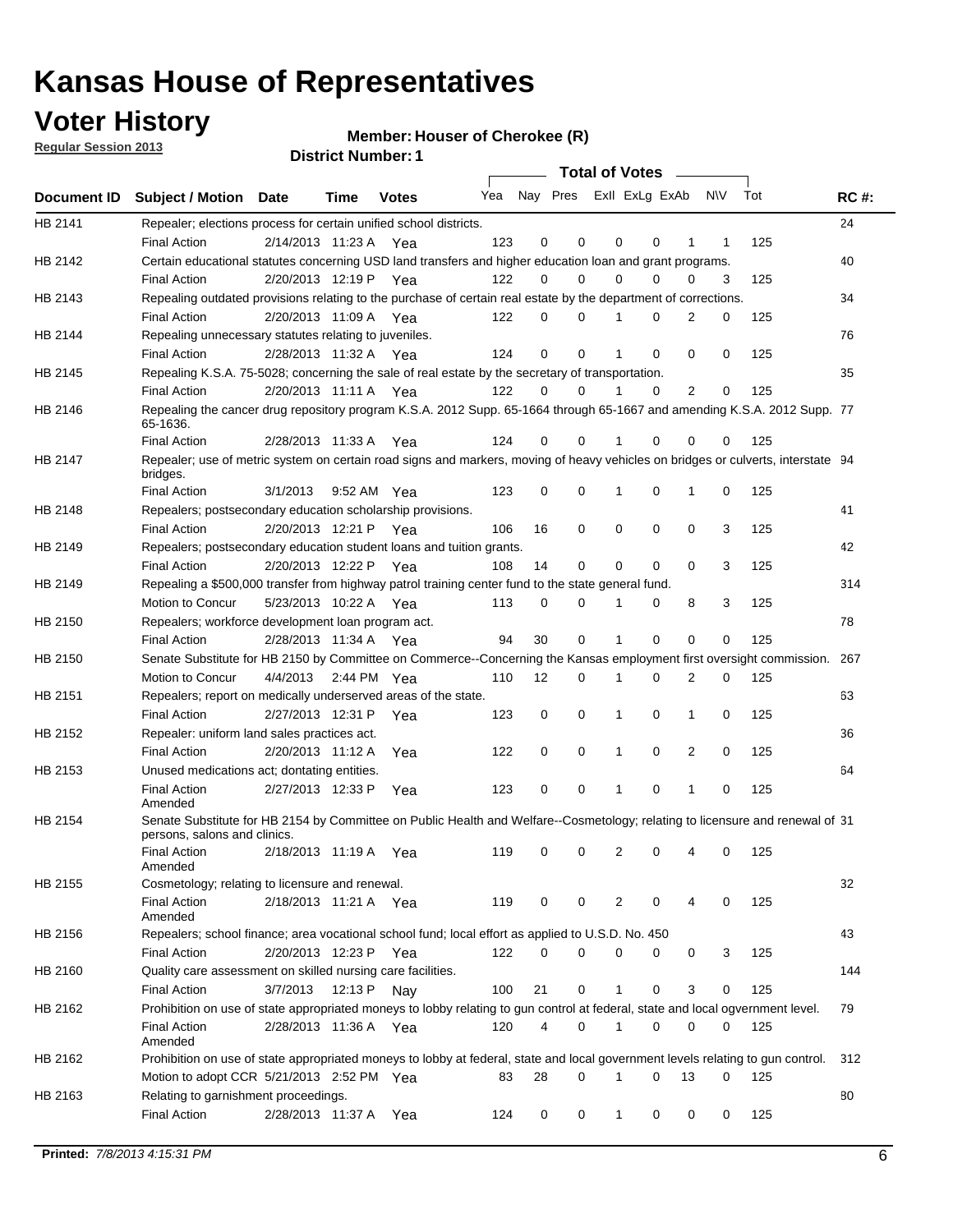## **Voter History**

**Member: Houser of Cherokee (R)** 

**Regular Session 2013**

|             |                                                                                                                                                               |                       |             | ו וסעוווטנו שנווסו |     |                         |          | Total of Votes – |          |                |           |     |             |
|-------------|---------------------------------------------------------------------------------------------------------------------------------------------------------------|-----------------------|-------------|--------------------|-----|-------------------------|----------|------------------|----------|----------------|-----------|-----|-------------|
| Document ID | <b>Subject / Motion Date</b>                                                                                                                                  |                       | <b>Time</b> | <b>Votes</b>       | Yea | Nay Pres Exll ExLg ExAb |          |                  |          |                | <b>NV</b> | Tot | <b>RC#:</b> |
| HB 2141     | Repealer; elections process for certain unified school districts.<br><b>Final Action</b>                                                                      | 2/14/2013 11:23 A Yea |             |                    | 123 | 0                       | 0        | 0                | 0        | 1              | 1         | 125 | 24          |
| HB 2142     | Certain educational statutes concerning USD land transfers and higher education loan and grant programs.                                                      |                       |             |                    |     |                         | 0        | $\Omega$         | 0        | $\Omega$       |           |     | 40          |
| HB 2143     | <b>Final Action</b><br>Repealing outdated provisions relating to the purchase of certain real estate by the department of corrections.                        | 2/20/2013 12:19 P Yea |             |                    | 122 | 0                       |          |                  |          |                | 3         | 125 | 34          |
|             | <b>Final Action</b>                                                                                                                                           | 2/20/2013 11:09 A Yea |             |                    | 122 | 0                       | 0        |                  | 0        | 2              | 0         | 125 |             |
| HB 2144     | Repealing unnecessary statutes relating to juveniles.<br><b>Final Action</b>                                                                                  | 2/28/2013 11:32 A Yea |             |                    | 124 | $\mathbf 0$             | 0        | 1                | 0        | $\Omega$       | 0         | 125 | 76          |
| HB 2145     | Repealing K.S.A. 75-5028; concerning the sale of real estate by the secretary of transportation.                                                              |                       |             |                    |     |                         |          |                  |          |                |           |     | 35          |
|             | <b>Final Action</b>                                                                                                                                           | 2/20/2013 11:11 A Yea |             |                    | 122 | 0                       | $\Omega$ |                  | $\Omega$ | $\overline{2}$ | 0         | 125 |             |
| HB 2146     | Repealing the cancer drug repository program K.S.A. 2012 Supp. 65-1664 through 65-1667 and amending K.S.A. 2012 Supp. 77<br>65-1636.                          |                       |             |                    |     |                         |          |                  |          |                |           |     |             |
|             | <b>Final Action</b>                                                                                                                                           | 2/28/2013 11:33 A     |             | Yea                | 124 | 0                       | 0        |                  | 0        | 0              | 0         | 125 |             |
| HB 2147     | Repealer; use of metric system on certain road signs and markers, moving of heavy vehicles on bridges or culverts, interstate 94<br>bridges.                  |                       |             |                    |     |                         |          |                  |          |                |           |     |             |
|             | <b>Final Action</b>                                                                                                                                           | 3/1/2013              |             | 9:52 AM Yea        | 123 | 0                       | 0        |                  | 0        | 1              | 0         | 125 |             |
| HB 2148     | Repealers; postsecondary education scholarship provisions.                                                                                                    |                       |             |                    |     |                         |          |                  |          |                |           |     | 41          |
|             | <b>Final Action</b>                                                                                                                                           | 2/20/2013 12:21 P Yea |             |                    | 106 | 16                      | 0        | 0                | 0        | 0              | 3         | 125 |             |
| HB 2149     | Repealers; postsecondary education student loans and tuition grants.<br><b>Final Action</b>                                                                   | 2/20/2013 12:22 P     |             | Yea                | 108 | 14                      | 0        | 0                | 0        | 0              | 3         | 125 | 42          |
| HB 2149     | Repealing a \$500,000 transfer from highway patrol training center fund to the state general fund.                                                            |                       |             |                    |     |                         |          |                  |          |                |           |     | 314         |
|             | Motion to Concur                                                                                                                                              | 5/23/2013 10:22 A Yea |             |                    | 113 | 0                       | 0        | 1                | 0        | 8              | 3         | 125 |             |
| HB 2150     | Repealers; workforce development loan program act.                                                                                                            |                       |             |                    |     |                         |          |                  |          |                |           |     | 78          |
|             | <b>Final Action</b>                                                                                                                                           | 2/28/2013 11:34 A     |             | Yea                | 94  | 30                      | 0        | 1                | $\Omega$ | 0              | 0         | 125 |             |
| HB 2150     | Senate Substitute for HB 2150 by Committee on Commerce--Concerning the Kansas employment first oversight commission.                                          |                       |             |                    |     |                         |          |                  |          |                |           |     | 267         |
|             | Motion to Concur                                                                                                                                              | 4/4/2013 2:44 PM Yea  |             |                    | 110 | 12                      | 0        | 1                | 0        | 2              | 0         | 125 |             |
| HB 2151     | Repealers; report on medically underserved areas of the state.                                                                                                |                       |             |                    |     |                         |          |                  |          |                |           |     | 63          |
|             | <b>Final Action</b>                                                                                                                                           | 2/27/2013 12:31 P     |             | Yea                | 123 | 0                       | 0        | 1                | 0        | 1              | 0         | 125 |             |
| HB 2152     | Repealer: uniform land sales practices act.                                                                                                                   |                       |             |                    |     |                         |          |                  |          |                |           |     | 36          |
|             | <b>Final Action</b>                                                                                                                                           | 2/20/2013 11:12 A     |             | Yea                | 122 | 0                       | 0        | 1                | 0        | 2              | 0         | 125 |             |
| HB 2153     | Unused medications act; dontating entities.                                                                                                                   |                       |             |                    |     |                         |          |                  |          |                |           |     | 64          |
|             | <b>Final Action</b><br>Amended                                                                                                                                | 2/27/2013 12:33 P     |             | Yea                | 123 | 0                       | 0        | 1                | 0        | 1              | 0         | 125 |             |
| HB 2154     | Senate Substitute for HB 2154 by Committee on Public Health and Welfare--Cosmetology; relating to licensure and renewal of 31<br>persons, salons and clinics. |                       |             |                    |     |                         |          |                  |          |                |           |     |             |
|             | Final Action<br>Amended                                                                                                                                       | 2/18/2013 11:19 A Yea |             |                    | 119 | 0                       | 0        | 2                | 0        | 4              | 0         | 125 |             |
| HB 2155     | Cosmetology; relating to licensure and renewal.                                                                                                               |                       |             |                    |     |                         |          |                  |          |                |           |     | 32          |
|             | <b>Final Action</b><br>Amended                                                                                                                                | 2/18/2013 11:21 A Yea |             |                    | 119 | 0                       | 0        | 2                | 0        | 4              | 0         | 125 |             |
| HB 2156     | Repealers; school finance; area vocational school fund; local effort as applied to U.S.D. No. 450                                                             |                       |             |                    |     |                         |          |                  |          |                |           |     | 43          |
|             | <b>Final Action</b>                                                                                                                                           | 2/20/2013 12:23 P     |             | Yea                | 122 | 0                       | 0        | 0                | 0        | 0              | 3         | 125 |             |
| HB 2160     | Quality care assessment on skilled nursing care facilities.                                                                                                   |                       |             |                    |     |                         |          |                  |          |                |           |     | 144         |
|             | <b>Final Action</b>                                                                                                                                           | 3/7/2013              | 12:13 P     | Nay                | 100 | 21                      | 0        | 1                | 0        | 3              | 0         | 125 |             |
| HB 2162     | Prohibition on use of state appropriated moneys to lobby relating to gun control at federal, state and local ogvernment level.<br><b>Final Action</b>         | 2/28/2013 11:36 A Yea |             |                    | 120 | 4                       | 0        | 1                | 0        | 0              | 0         | 125 | 79          |
|             | Amended                                                                                                                                                       |                       |             |                    |     |                         |          |                  |          |                |           |     |             |
| HB 2162     | Prohibition on use of state appropriated moneys to lobby at federal, state and local government levels relating to gun control.                               |                       |             |                    |     |                         |          |                  |          |                |           |     | 312         |
|             | Motion to adopt CCR 5/21/2013 2:52 PM Yea                                                                                                                     |                       |             |                    | 83  | 28                      | 0        | 1                | 0        | 13             | 0         | 125 |             |
| HB 2163     | Relating to garnishment proceedings.<br><b>Final Action</b>                                                                                                   | 2/28/2013 11:37 A     |             | Yea                | 124 | 0                       | 0        | 1                | 0        | 0              | 0         | 125 | 80          |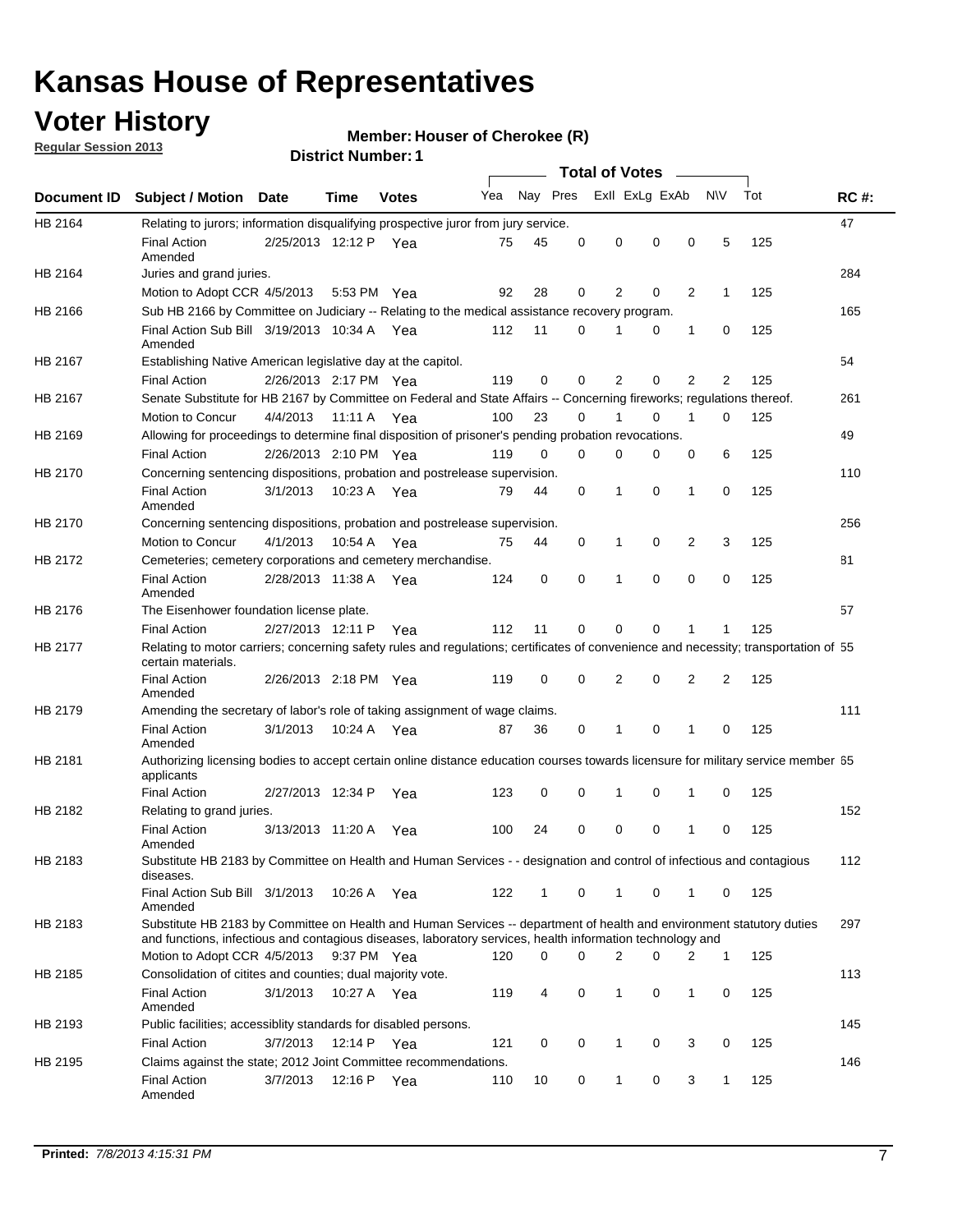## **Voter History**

**Member: Houser of Cherokee (R)** 

**Regular Session 2013**

|             |                                                                                                                                                                                                                                    |                       |             |              |     |              |          | <b>Total of Votes</b> |          | $\sim$         |          |     |             |
|-------------|------------------------------------------------------------------------------------------------------------------------------------------------------------------------------------------------------------------------------------|-----------------------|-------------|--------------|-----|--------------|----------|-----------------------|----------|----------------|----------|-----|-------------|
| Document ID | <b>Subject / Motion</b>                                                                                                                                                                                                            | <b>Date</b>           | Time        | <b>Votes</b> | Yea | Nay Pres     |          | Exll ExLg ExAb        |          |                | N\V      | Tot | <b>RC#:</b> |
| HB 2164     | Relating to jurors; information disqualifying prospective juror from jury service.                                                                                                                                                 |                       |             |              |     |              |          |                       |          |                |          |     | 47          |
|             | <b>Final Action</b><br>Amended                                                                                                                                                                                                     | 2/25/2013 12:12 P     |             | Yea          | 75  | 45           | 0        | 0                     | 0        | 0              | 5        | 125 |             |
| HB 2164     | Juries and grand juries.                                                                                                                                                                                                           |                       |             |              |     |              |          |                       |          |                |          |     | 284         |
|             | Motion to Adopt CCR 4/5/2013                                                                                                                                                                                                       |                       | 5:53 PM Yea |              | 92  | 28           | 0        | 2                     | 0        | 2              | 1        | 125 |             |
| HB 2166     | Sub HB 2166 by Committee on Judiciary -- Relating to the medical assistance recovery program.                                                                                                                                      |                       |             |              |     |              |          |                       |          |                |          |     | 165         |
|             | Final Action Sub Bill 3/19/2013 10:34 A Yea<br>Amended                                                                                                                                                                             |                       |             |              | 112 | 11           | 0        |                       | 0        | 1              | 0        | 125 |             |
| HB 2167     | Establishing Native American legislative day at the capitol.                                                                                                                                                                       |                       |             |              |     |              |          |                       |          |                |          |     | 54          |
|             | <b>Final Action</b>                                                                                                                                                                                                                | 2/26/2013 2:17 PM Yea |             |              | 119 | $\mathbf 0$  | 0        | $\overline{2}$        | 0        | $\overline{2}$ | 2        | 125 |             |
| HB 2167     | Senate Substitute for HB 2167 by Committee on Federal and State Affairs -- Concerning fireworks; regulations thereof.                                                                                                              |                       |             |              |     |              |          |                       |          |                |          |     | 261         |
|             | Motion to Concur                                                                                                                                                                                                                   | 4/4/2013 11:11 A Yea  |             |              | 100 | 23           | $\Omega$ |                       | $\Omega$ | 1              | $\Omega$ | 125 |             |
| HB 2169     | Allowing for proceedings to determine final disposition of prisoner's pending probation revocations.                                                                                                                               |                       |             |              |     |              |          |                       |          |                |          |     | 49          |
|             | <b>Final Action</b>                                                                                                                                                                                                                | 2/26/2013 2:10 PM Yea |             |              | 119 | $\Omega$     | $\Omega$ | 0                     | $\Omega$ | 0              | 6        | 125 |             |
| HB 2170     | Concerning sentencing dispositions, probation and postrelease supervision.                                                                                                                                                         |                       |             |              |     |              |          |                       |          |                |          |     | 110         |
|             | <b>Final Action</b><br>Amended                                                                                                                                                                                                     | 3/1/2013              | 10:23 A Yea |              | 79  | 44           | 0        | 1                     | $\Omega$ | 1              | 0        | 125 |             |
| HB 2170     | Concerning sentencing dispositions, probation and postrelease supervision.                                                                                                                                                         |                       |             |              |     |              |          |                       |          |                |          |     | 256         |
|             | Motion to Concur                                                                                                                                                                                                                   | 4/1/2013              | 10:54 A     | Yea          | 75  | 44           | 0        | 1                     | 0        | 2              | 3        | 125 |             |
| HB 2172     | Cemeteries; cemetery corporations and cemetery merchandise.                                                                                                                                                                        |                       |             |              |     |              |          |                       |          |                |          |     | 81          |
|             | <b>Final Action</b><br>Amended                                                                                                                                                                                                     | 2/28/2013 11:38 A     |             | Yea          | 124 | 0            | 0        | 1                     | 0        | 0              | 0        | 125 |             |
| HB 2176     | The Eisenhower foundation license plate.                                                                                                                                                                                           |                       |             |              |     |              |          |                       |          |                |          |     | 57          |
|             | <b>Final Action</b>                                                                                                                                                                                                                | 2/27/2013 12:11 P     |             | Yea          | 112 | 11           | 0        | 0                     | 0        | 1              | 1        | 125 |             |
| HB 2177     | Relating to motor carriers; concerning safety rules and regulations; certificates of convenience and necessity; transportation of 55<br>certain materials.                                                                         |                       |             |              |     |              |          |                       |          |                |          |     |             |
|             | <b>Final Action</b><br>Amended                                                                                                                                                                                                     | 2/26/2013 2:18 PM Yea |             |              | 119 | 0            | 0        | 2                     | 0        | 2              | 2        | 125 |             |
| HB 2179     | Amending the secretary of labor's role of taking assignment of wage claims.                                                                                                                                                        |                       |             |              |     |              |          |                       |          |                |          |     | 111         |
|             | <b>Final Action</b><br>Amended                                                                                                                                                                                                     | 3/1/2013              |             | 10:24 A Yea  | 87  | 36           | 0        | 1                     | 0        | 1              | 0        | 125 |             |
| HB 2181     | Authorizing licensing bodies to accept certain online distance education courses towards licensure for military service member 55<br>applicants                                                                                    |                       |             |              |     |              |          |                       |          |                |          |     |             |
|             | <b>Final Action</b>                                                                                                                                                                                                                | 2/27/2013 12:34 P     |             | Yea          | 123 | 0            | 0        | 1                     | 0        | 1              | 0        | 125 |             |
| HB 2182     | Relating to grand juries.                                                                                                                                                                                                          |                       |             |              |     |              |          |                       |          |                |          |     | 152         |
|             | <b>Final Action</b><br>Amended                                                                                                                                                                                                     | 3/13/2013 11:20 A Yea |             |              | 100 | 24           | 0        | 0                     | 0        | 1              | 0        | 125 |             |
| HB 2183     | Substitute HB 2183 by Committee on Health and Human Services - - designation and control of infectious and contagious<br>diseases.                                                                                                 |                       |             |              |     |              |          |                       |          |                |          |     | 112         |
|             | Final Action Sub Bill 3/1/2013<br>Amended                                                                                                                                                                                          |                       | 10:26 A Yea |              | 122 | $\mathbf{1}$ | 0        | $\mathbf 1$           | 0        | $\mathbf{1}$   | 0        | 125 |             |
| HB 2183     | Substitute HB 2183 by Committee on Health and Human Services -- department of health and environment statutory duties<br>and functions, infectious and contagious diseases, laboratory services, health information technology and |                       |             |              |     |              |          |                       |          |                |          |     | 297         |
|             | Motion to Adopt CCR 4/5/2013                                                                                                                                                                                                       |                       | 9:37 PM Yea |              | 120 | 0            | $\Omega$ | 2                     | 0        | 2              | 1        | 125 |             |
| HB 2185     | Consolidation of citites and counties; dual majority vote.                                                                                                                                                                         |                       |             |              |     |              |          |                       |          |                |          |     | 113         |
|             | <b>Final Action</b><br>Amended                                                                                                                                                                                                     | 3/1/2013              | 10:27 A Yea |              | 119 | 4            | 0        | 1                     | 0        | 1              | 0        | 125 |             |
| HB 2193     | Public facilities; accessiblity standards for disabled persons.                                                                                                                                                                    |                       |             |              |     |              |          |                       |          |                |          |     | 145         |
|             | <b>Final Action</b>                                                                                                                                                                                                                | 3/7/2013              | 12:14 P Yea |              | 121 | 0            | 0        | 1                     | 0        | 3              | 0        | 125 |             |
| HB 2195     | Claims against the state; 2012 Joint Committee recommendations.                                                                                                                                                                    |                       |             |              |     |              |          |                       |          |                |          |     | 146         |
|             | <b>Final Action</b><br>Amended                                                                                                                                                                                                     | 3/7/2013              | 12:16 P Yea |              | 110 | 10           | 0        | $\mathbf{1}$          | 0        | 3              | 1        | 125 |             |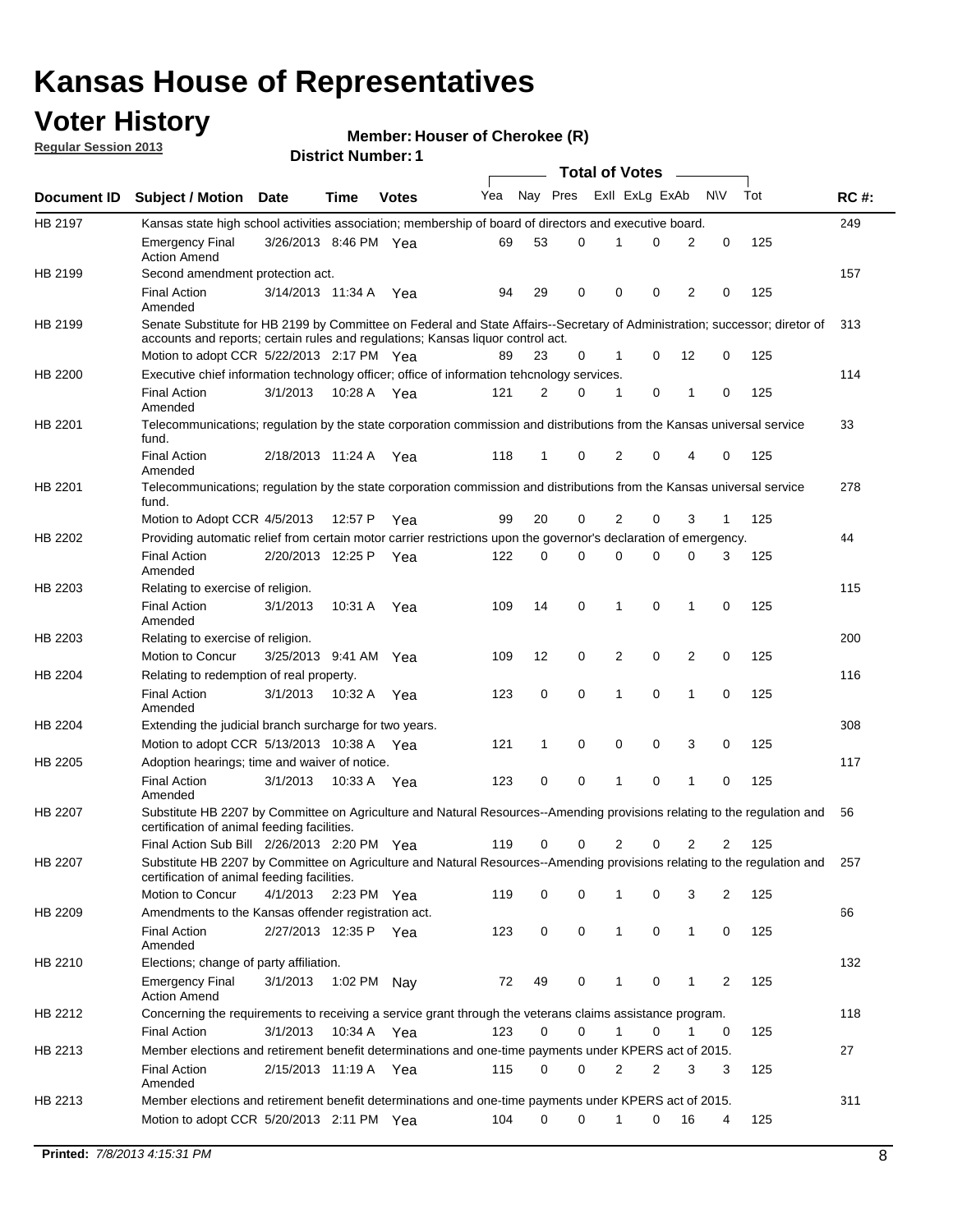## **Voter History**

**Member: Houser of Cherokee (R)** 

**Regular Session 2013**

|                |                                                                                                                                                                                                                |                       |             |              |     |             |             | <b>Total of Votes</b> |             | $\overline{\phantom{a}}$ |              |     |             |
|----------------|----------------------------------------------------------------------------------------------------------------------------------------------------------------------------------------------------------------|-----------------------|-------------|--------------|-----|-------------|-------------|-----------------------|-------------|--------------------------|--------------|-----|-------------|
| Document ID    | <b>Subject / Motion Date</b>                                                                                                                                                                                   |                       | Time        | <b>Votes</b> | Yea | Nay Pres    |             | Exll ExLg ExAb        |             |                          | <b>NV</b>    | Tot | <b>RC#:</b> |
| HB 2197        | Kansas state high school activities association; membership of board of directors and executive board.                                                                                                         |                       |             |              |     |             |             |                       |             |                          |              |     | 249         |
|                | <b>Emergency Final</b><br><b>Action Amend</b>                                                                                                                                                                  | 3/26/2013 8:46 PM Yea |             |              | 69  | 53          | 0           |                       | 0           | 2                        | 0            | 125 |             |
| HB 2199        | Second amendment protection act.                                                                                                                                                                               |                       |             |              |     |             |             |                       |             |                          |              |     | 157         |
|                | <b>Final Action</b><br>Amended                                                                                                                                                                                 | 3/14/2013 11:34 A     |             | Yea          | 94  | 29          | 0           | 0                     | 0           | 2                        | 0            | 125 |             |
| HB 2199        | Senate Substitute for HB 2199 by Committee on Federal and State Affairs--Secretary of Administration; successor; diretor of<br>accounts and reports; certain rules and regulations; Kansas liguor control act. |                       |             |              |     |             |             |                       |             |                          |              |     | 313         |
|                | Motion to adopt CCR 5/22/2013 2:17 PM Yea                                                                                                                                                                      |                       |             |              | 89  | 23          | 0           | 1                     | 0           | 12                       | 0            | 125 |             |
| <b>HB 2200</b> | Executive chief information technology officer; office of information tehcnology services.                                                                                                                     |                       |             |              |     |             |             |                       |             |                          |              |     | 114         |
|                | <b>Final Action</b><br>Amended                                                                                                                                                                                 | 3/1/2013              | 10:28 A     | Yea          | 121 | 2           | 0           | 1                     | 0           | 1                        | 0            | 125 |             |
| HB 2201        | Telecommunications; regulation by the state corporation commission and distributions from the Kansas universal service<br>fund.                                                                                |                       |             |              |     |             |             |                       |             |                          |              |     | 33          |
|                | <b>Final Action</b><br>Amended                                                                                                                                                                                 | 2/18/2013 11:24 A Yea |             |              | 118 | 1           | 0           | 2                     | 0           | 4                        | 0            | 125 |             |
| HB 2201        | Telecommunications; regulation by the state corporation commission and distributions from the Kansas universal service<br>fund.                                                                                |                       |             |              |     |             |             |                       |             |                          |              |     | 278         |
|                | Motion to Adopt CCR 4/5/2013                                                                                                                                                                                   |                       | 12:57 P     | Yea          | 99  | 20          | 0           | 2                     | 0           | 3                        | $\mathbf{1}$ | 125 |             |
| HB 2202        | Providing automatic relief from certain motor carrier restrictions upon the governor's declaration of emergency.                                                                                               |                       |             |              |     |             |             |                       |             |                          |              |     | 44          |
|                | <b>Final Action</b><br>Amended                                                                                                                                                                                 | 2/20/2013 12:25 P     |             | Yea          | 122 | 0           | $\Omega$    | 0                     | 0           | 0                        | 3            | 125 |             |
| HB 2203        | Relating to exercise of religion.                                                                                                                                                                              |                       |             |              |     |             |             |                       |             |                          |              |     | 115         |
|                | <b>Final Action</b><br>Amended                                                                                                                                                                                 | 3/1/2013              | 10:31 A     | Yea          | 109 | 14          | 0           | 1                     | 0           | $\mathbf 1$              | 0            | 125 |             |
| HB 2203        | Relating to exercise of religion.                                                                                                                                                                              |                       |             |              |     |             |             |                       |             |                          |              |     | 200         |
|                | Motion to Concur                                                                                                                                                                                               | 3/25/2013 9:41 AM     |             | Yea          | 109 | 12          | 0           | 2                     | 0           | 2                        | 0            | 125 |             |
| HB 2204        | Relating to redemption of real property.                                                                                                                                                                       |                       |             |              |     |             |             |                       |             |                          |              |     | 116         |
|                | <b>Final Action</b><br>Amended                                                                                                                                                                                 | 3/1/2013              | 10:32 A     | Yea          | 123 | $\mathbf 0$ | $\mathbf 0$ | 1                     | 0           | 1                        | 0            | 125 |             |
| HB 2204        | Extending the judicial branch surcharge for two years.                                                                                                                                                         |                       |             |              |     |             |             |                       |             |                          |              |     | 308         |
|                | Motion to adopt CCR 5/13/2013 10:38 A Yea                                                                                                                                                                      |                       |             |              | 121 | 1           | 0           | 0                     | 0           | 3                        | 0            | 125 |             |
| HB 2205        | Adoption hearings; time and waiver of notice.                                                                                                                                                                  |                       |             |              |     |             |             |                       |             |                          |              |     | 117         |
|                | <b>Final Action</b><br>Amended                                                                                                                                                                                 | 3/1/2013              | 10:33 A Yea |              | 123 | 0           | 0           | 1                     | 0           | 1                        | 0            | 125 |             |
| <b>HB 2207</b> | Substitute HB 2207 by Committee on Agriculture and Natural Resources--Amending provisions relating to the regulation and<br>certification of animal feeding facilities.                                        |                       |             |              |     |             |             |                       |             |                          |              |     | 56          |
|                | Final Action Sub Bill 2/26/2013 2:20 PM Yea                                                                                                                                                                    |                       |             |              | 119 | 0           | 0           | 2                     | 0           | 2                        | 2            | 125 |             |
| HB 2207        | Substitute HB 2207 by Committee on Agriculture and Natural Resources--Amending provisions relating to the regulation and 257<br>certification of animal feeding facilities.                                    |                       |             |              |     |             |             |                       |             |                          |              |     |             |
|                | Motion to Concur                                                                                                                                                                                               | 4/1/2013              | 2:23 PM Yea |              | 119 | 0           | 0           |                       | 0           | 3                        | 2            | 125 |             |
| HB 2209        | Amendments to the Kansas offender registration act.                                                                                                                                                            |                       |             |              |     |             |             |                       |             |                          |              |     | 66          |
|                | <b>Final Action</b><br>Amended                                                                                                                                                                                 | 2/27/2013 12:35 P Yea |             |              | 123 | 0           | 0           | $\mathbf 1$           | $\mathbf 0$ | 1                        | 0            | 125 |             |
| HB 2210        | Elections; change of party affiliation.                                                                                                                                                                        |                       |             |              |     |             |             |                       |             |                          |              |     | 132         |
|                | <b>Emergency Final</b><br><b>Action Amend</b>                                                                                                                                                                  | 3/1/2013              | 1:02 PM Nay |              | 72  | 49          | 0           | 1                     | 0           | 1                        | 2            | 125 |             |
| HB 2212        | Concerning the requirements to receiving a service grant through the veterans claims assistance program.                                                                                                       |                       |             |              |     |             |             |                       |             |                          |              |     | 118         |
|                | <b>Final Action</b>                                                                                                                                                                                            | 3/1/2013              | 10:34 A Yea |              | 123 | 0           | 0           | $\mathbf 1$           | 0           | 1                        | 0            | 125 |             |
| HB 2213        | Member elections and retirement benefit determinations and one-time payments under KPERS act of 2015.                                                                                                          |                       |             |              |     |             |             |                       |             |                          |              |     | 27          |
|                | <b>Final Action</b><br>Amended                                                                                                                                                                                 | 2/15/2013 11:19 A Yea |             |              | 115 | 0           | 0           | 2                     | 2           | 3                        | 3            | 125 |             |
| HB 2213        | Member elections and retirement benefit determinations and one-time payments under KPERS act of 2015.                                                                                                          |                       |             |              |     |             |             |                       |             |                          |              |     | 311         |
|                | Motion to adopt CCR 5/20/2013 2:11 PM Yea                                                                                                                                                                      |                       |             |              | 104 | 0           | 0           | 1                     | 0           | 16                       | 4            | 125 |             |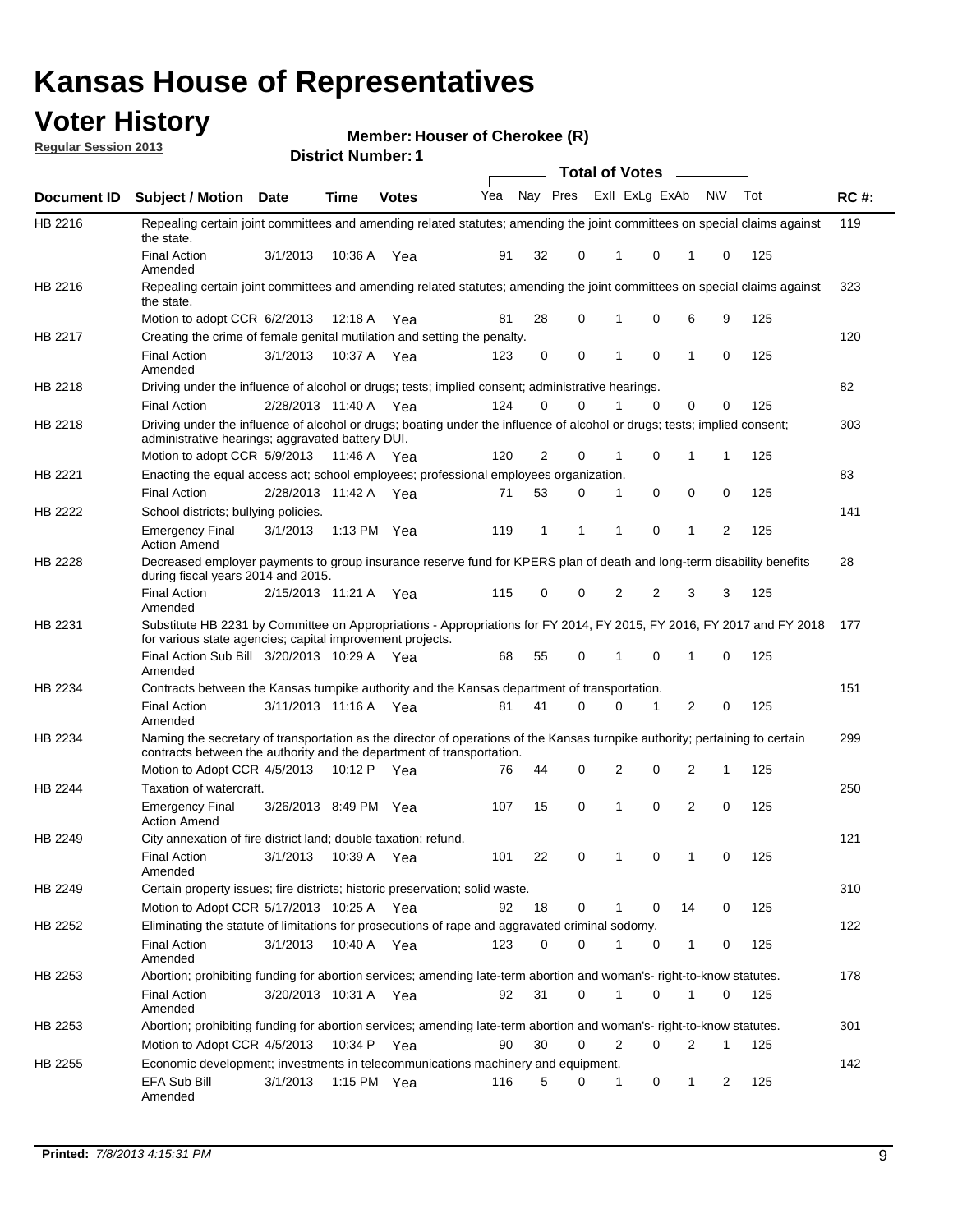### **Voter History**

**Regular Session 2013**

**Member: Houser of Cherokee (R)** 

| <u><b>Neguiai ocoolori 40 iu</b></u> |                                                                                                                                                                                                       |                       | <b>District Number: 1</b> |              |     |             |                     |                         |          |                |           |     |             |
|--------------------------------------|-------------------------------------------------------------------------------------------------------------------------------------------------------------------------------------------------------|-----------------------|---------------------------|--------------|-----|-------------|---------------------|-------------------------|----------|----------------|-----------|-----|-------------|
|                                      |                                                                                                                                                                                                       |                       |                           |              |     |             |                     | Total of Votes –        |          |                |           |     |             |
| Document ID                          | <b>Subject / Motion</b>                                                                                                                                                                               | <b>Date</b>           | Time                      | <b>Votes</b> | Yea |             |                     | Nay Pres ExII ExLg ExAb |          |                | <b>NV</b> | Tot | <b>RC#:</b> |
| HB 2216                              | Repealing certain joint committees and amending related statutes; amending the joint committees on special claims against<br>the state.                                                               |                       |                           |              |     |             |                     |                         |          |                |           |     | 119         |
|                                      | <b>Final Action</b><br>Amended                                                                                                                                                                        | 3/1/2013              |                           | 10:36 A Yea  | 91  | 32          | 0                   | 1                       | 0        | 1              | 0         | 125 |             |
| HB 2216                              | Repealing certain joint committees and amending related statutes; amending the joint committees on special claims against<br>the state.                                                               |                       |                           |              |     |             |                     |                         |          |                |           |     | 323         |
|                                      | Motion to adopt CCR 6/2/2013                                                                                                                                                                          |                       |                           | 12:18 A Yea  | 81  | 28          | 0                   | 1                       | 0        | 6              | 9         | 125 |             |
| HB 2217                              | Creating the crime of female genital mutilation and setting the penalty.                                                                                                                              |                       |                           |              |     |             |                     |                         |          |                |           |     | 120         |
|                                      | <b>Final Action</b><br>Amended                                                                                                                                                                        | 3/1/2013              |                           | 10:37 A Yea  | 123 |             | 0<br>0              | 1                       | 0        | 1              | 0         | 125 |             |
| HB 2218                              | Driving under the influence of alcohol or drugs; tests; implied consent; administrative hearings.                                                                                                     |                       |                           |              |     |             |                     |                         |          |                |           |     | 82          |
|                                      | <b>Final Action</b>                                                                                                                                                                                   | 2/28/2013 11:40 A Yea |                           |              | 124 |             | 0<br>0              |                         | 0        | 0              | 0         | 125 |             |
| HB 2218                              | Driving under the influence of alcohol or drugs; boating under the influence of alcohol or drugs; tests; implied consent;<br>administrative hearings; aggravated battery DUI.                         |                       |                           |              |     |             |                     |                         |          |                |           |     | 303         |
|                                      | Motion to adopt CCR 5/9/2013                                                                                                                                                                          |                       | 11:46 A Yea               |              | 120 |             | $\overline{2}$<br>0 | 1                       | 0        | 1              | 1         | 125 |             |
| HB 2221                              | Enacting the equal access act; school employees; professional employees organization.                                                                                                                 |                       |                           |              |     |             |                     |                         |          |                |           |     | 83          |
|                                      | <b>Final Action</b>                                                                                                                                                                                   | 2/28/2013 11:42 A Yea |                           |              | 71  | 53          | 0                   | 1                       | 0        | $\mathbf 0$    | 0         | 125 |             |
| <b>HB 2222</b>                       | School districts; bullying policies.                                                                                                                                                                  |                       |                           |              |     |             |                     |                         |          |                |           |     | 141         |
|                                      | <b>Emergency Final</b><br><b>Action Amend</b>                                                                                                                                                         | 3/1/2013              |                           | 1:13 PM Yea  | 119 | $\mathbf 1$ | 1                   | 1                       | 0        | 1              | 2         | 125 |             |
| HB 2228                              | Decreased employer payments to group insurance reserve fund for KPERS plan of death and long-term disability benefits<br>during fiscal years 2014 and 2015.                                           |                       |                           |              |     |             |                     |                         |          |                |           |     | 28          |
|                                      | <b>Final Action</b><br>Amended                                                                                                                                                                        | 2/15/2013 11:21 A Yea |                           |              | 115 |             | 0<br>0              | 2                       | 2        | 3              | 3         | 125 |             |
| HB 2231                              | Substitute HB 2231 by Committee on Appropriations - Appropriations for FY 2014, FY 2015, FY 2016, FY 2017 and FY 2018<br>for various state agencies; capital improvement projects.                    |                       |                           |              |     |             |                     |                         |          |                |           |     | 177         |
|                                      | Final Action Sub Bill 3/20/2013 10:29 A Yea<br>Amended                                                                                                                                                |                       |                           |              | 68  | 55          | 0                   | 1                       | 0        | 1              | 0         | 125 |             |
| HB 2234                              | Contracts between the Kansas turnpike authority and the Kansas department of transportation.                                                                                                          |                       |                           |              |     |             |                     |                         |          |                |           |     | 151         |
|                                      | <b>Final Action</b><br>Amended                                                                                                                                                                        | 3/11/2013 11:16 A Yea |                           |              | 81  | 41          | 0                   | 0                       | 1        | 2              | 0         | 125 |             |
| HB 2234                              | Naming the secretary of transportation as the director of operations of the Kansas turnpike authority; pertaining to certain<br>contracts between the authority and the department of transportation. |                       |                           |              |     |             |                     |                         |          |                |           |     | 299         |
|                                      | Motion to Adopt CCR 4/5/2013                                                                                                                                                                          |                       | 10:12 P                   | Yea          | 76  | 44          | 0                   | 2                       | 0        | $\overline{2}$ | 1         | 125 |             |
| HB 2244                              | Taxation of watercraft.                                                                                                                                                                               |                       |                           |              |     |             |                     |                         |          |                |           |     | 250         |
|                                      | <b>Emergency Final</b><br><b>Action Amend</b>                                                                                                                                                         | 3/26/2013 8:49 PM Yea |                           |              | 107 | 15          | 0                   | $\mathbf{1}$            | $\Omega$ | 2              | $\Omega$  | 125 |             |
| HB 2249                              | City annexation of fire district land; double taxation; refund.                                                                                                                                       |                       |                           |              |     |             |                     |                         |          |                |           |     | 121         |
|                                      | <b>Final Action</b><br>Amended                                                                                                                                                                        | 3/1/2013              |                           | 10:39 A Yea  | 101 | 22          | 0                   | 1                       | 0        | 1              | 0         | 125 |             |
| HB 2249                              | Certain property issues; fire districts; historic preservation; solid waste.                                                                                                                          |                       |                           |              |     |             |                     |                         |          |                |           |     | 310         |
|                                      | Motion to Adopt CCR 5/17/2013 10:25 A Yea                                                                                                                                                             |                       |                           |              | 92  | 18          | 0                   | 1                       | 0        | 14             | 0         | 125 |             |
| HB 2252                              | Eliminating the statute of limitations for prosecutions of rape and aggravated criminal sodomy.                                                                                                       |                       |                           |              |     |             |                     |                         |          |                |           |     | 122         |
|                                      | <b>Final Action</b><br>Amended                                                                                                                                                                        | 3/1/2013              |                           | 10:40 A Yea  | 123 |             | 0<br>0              | 1                       | 0        | $\mathbf{1}$   | 0         | 125 |             |
| HB 2253                              | Abortion; prohibiting funding for abortion services; amending late-term abortion and woman's- right-to-know statutes.                                                                                 |                       |                           |              |     |             |                     |                         |          |                |           |     | 178         |
|                                      | <b>Final Action</b><br>Amended                                                                                                                                                                        | 3/20/2013 10:31 A Yea |                           |              | 92  | 31          | 0                   | 1                       | 0        | 1              | 0         | 125 |             |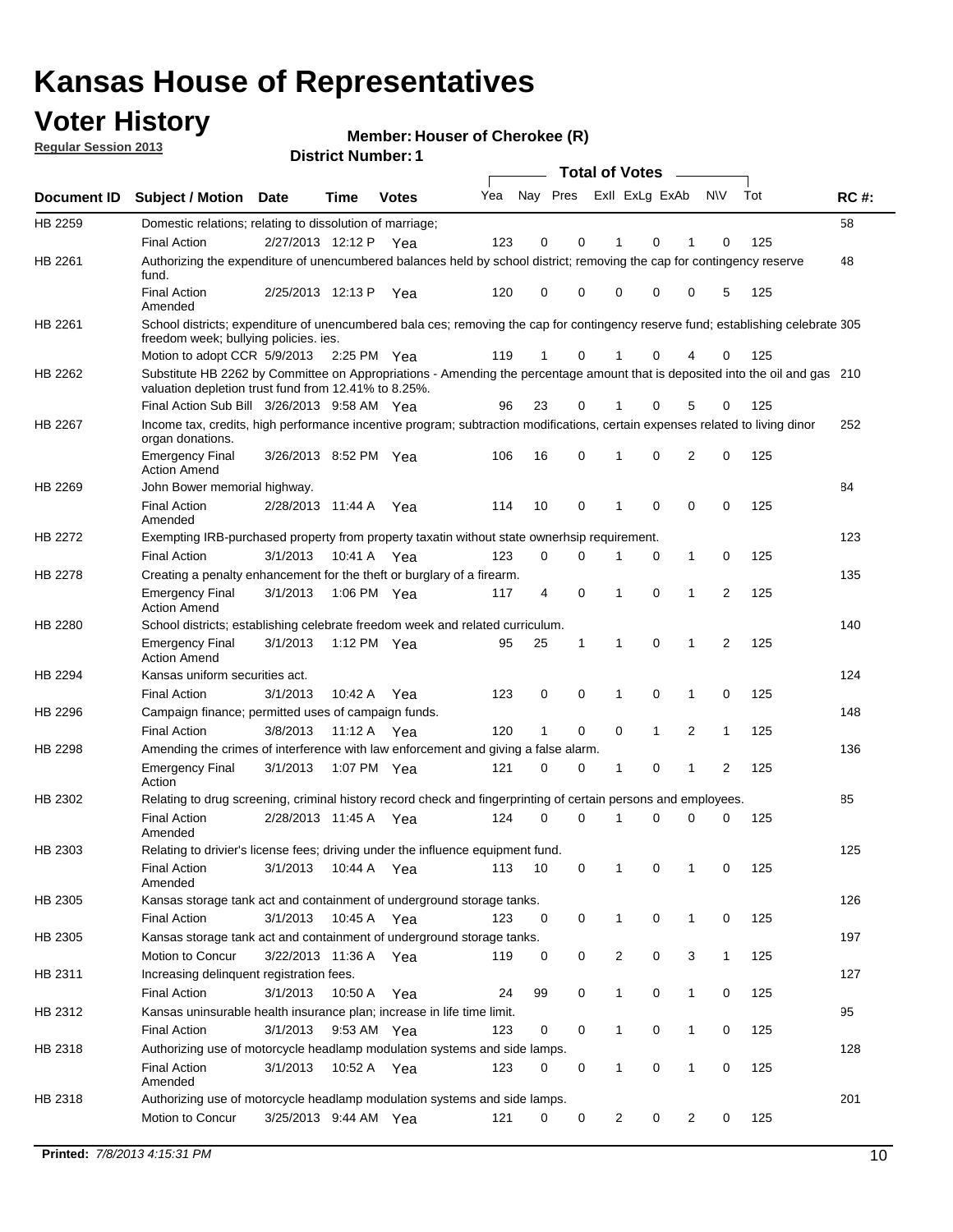## **Voter History**

**Member: Houser of Cherokee (R)** 

**Regular Session 2013**

|                    |                                                                                                                                                                                       |                       | ו ו וסעוווטרו ועוווסו |              |     |                         |             | <b>Total of Votes</b> |              | $\sim$       |                |     |     |
|--------------------|---------------------------------------------------------------------------------------------------------------------------------------------------------------------------------------|-----------------------|-----------------------|--------------|-----|-------------------------|-------------|-----------------------|--------------|--------------|----------------|-----|-----|
| <b>Document ID</b> | <b>Subject / Motion Date</b>                                                                                                                                                          |                       | <b>Time</b>           | <b>Votes</b> | Yea | Nay Pres Exll ExLg ExAb |             |                       |              |              | <b>NV</b>      | Tot | RC# |
| HB 2259            | Domestic relations; relating to dissolution of marriage;                                                                                                                              |                       |                       |              |     |                         |             |                       |              |              |                |     | 58  |
|                    | <b>Final Action</b>                                                                                                                                                                   | 2/27/2013 12:12 P     |                       | Yea          | 123 | 0                       | 0           | 1                     | 0            | 1            | 0              | 125 |     |
| HB 2261            | Authorizing the expenditure of unencumbered balances held by school district; removing the cap for contingency reserve<br>fund.                                                       |                       |                       |              |     |                         |             |                       |              |              |                |     | 48  |
|                    | <b>Final Action</b><br>Amended                                                                                                                                                        | 2/25/2013 12:13 P     |                       | Yea          | 120 | 0                       | 0           | 0                     | 0            | 0            | 5              | 125 |     |
| HB 2261            | School districts; expenditure of unencumbered bala ces; removing the cap for contingency reserve fund; establishing celebrate 305<br>freedom week; bullying policies. ies.            |                       |                       |              |     |                         |             |                       |              |              |                |     |     |
|                    | Motion to adopt CCR 5/9/2013 2:25 PM Yea                                                                                                                                              |                       |                       |              | 119 | 1                       | 0           | 1                     | 0            | 4            | 0              | 125 |     |
| HB 2262            | Substitute HB 2262 by Committee on Appropriations - Amending the percentage amount that is deposited into the oil and gas 210<br>valuation depletion trust fund from 12.41% to 8.25%. |                       |                       |              |     |                         |             |                       |              |              |                |     |     |
|                    | Final Action Sub Bill 3/26/2013 9:58 AM Yea                                                                                                                                           |                       |                       |              | 96  | 23                      | 0           |                       | 0            | 5            | 0              | 125 |     |
| HB 2267            | Income tax, credits, high performance incentive program; subtraction modifications, certain expenses related to living dinor<br>organ donations.                                      |                       |                       |              |     |                         |             |                       |              |              |                |     | 252 |
|                    | <b>Emergency Final</b><br><b>Action Amend</b>                                                                                                                                         | 3/26/2013 8:52 PM Yea |                       |              | 106 | 16                      | 0           | 1                     | 0            | 2            | 0              | 125 |     |
| HB 2269            | John Bower memorial highway.                                                                                                                                                          |                       |                       |              |     |                         |             |                       |              |              |                |     | 84  |
|                    | <b>Final Action</b><br>Amended                                                                                                                                                        | 2/28/2013 11:44 A Yea |                       |              | 114 | 10                      | 0           | 1                     | 0            | 0            | 0              | 125 |     |
| <b>HB 2272</b>     | Exempting IRB-purchased property from property taxatin without state ownerhsip requirement.                                                                                           |                       |                       |              |     |                         |             |                       |              |              |                |     | 123 |
|                    | <b>Final Action</b>                                                                                                                                                                   | 3/1/2013              | 10:41 A               | Yea          | 123 | 0                       | 0           | 1                     | 0            | $\mathbf{1}$ | 0              | 125 |     |
| HB 2278            | Creating a penalty enhancement for the theft or burglary of a firearm.                                                                                                                |                       |                       |              |     |                         |             |                       |              |              |                |     | 135 |
|                    | <b>Emergency Final</b><br><b>Action Amend</b>                                                                                                                                         | 3/1/2013              | 1:06 PM Yea           |              | 117 | 4                       | $\mathbf 0$ | 1                     | $\Omega$     | 1            | $\overline{2}$ | 125 |     |
| HB 2280            | School districts; establishing celebrate freedom week and related curriculum.                                                                                                         |                       |                       |              |     |                         |             |                       |              |              |                |     | 140 |
|                    | <b>Emergency Final</b><br><b>Action Amend</b>                                                                                                                                         | 3/1/2013              | 1:12 PM Yea           |              | 95  | 25                      | 1           | 1                     | 0            | 1            | 2              | 125 |     |
| HB 2294            | Kansas uniform securities act.                                                                                                                                                        |                       |                       |              |     |                         |             |                       |              |              |                |     | 124 |
|                    | <b>Final Action</b>                                                                                                                                                                   | 3/1/2013              | 10:42 A               | Yea          | 123 | 0                       | 0           | 1                     | 0            | 1            | 0              | 125 |     |
| HB 2296            | Campaign finance; permitted uses of campaign funds.                                                                                                                                   |                       |                       |              |     |                         |             |                       |              |              |                |     | 148 |
|                    | <b>Final Action</b>                                                                                                                                                                   | 3/8/2013              | 11:12 A Yea           |              | 120 | 1                       | 0           | 0                     | $\mathbf{1}$ | 2            | $\mathbf{1}$   | 125 |     |
| HB 2298            | Amending the crimes of interference with law enforcement and giving a false alarm.                                                                                                    |                       |                       |              |     |                         |             |                       |              |              |                |     | 136 |
|                    | <b>Emergency Final</b><br>Action                                                                                                                                                      | 3/1/2013              | 1:07 PM Yea           |              | 121 | 0                       | 0           | 1                     | 0            | 1            | 2              | 125 |     |
| HB 2302            | Relating to drug screening, criminal history record check and fingerprinting of certain persons and employees.                                                                        |                       |                       |              |     |                         |             |                       |              |              |                |     | 85  |
|                    | <b>Final Action</b><br>Amended                                                                                                                                                        | 2/28/2013 11:45 A     |                       | Yea          | 124 | 0                       | $\Omega$    | 1                     | 0            | 0            | 0              | 125 |     |
| HB 2303            | Relating to drivier's license fees; driving under the influence equipment fund.                                                                                                       |                       |                       |              |     |                         |             |                       |              |              |                |     | 125 |
|                    | <b>Final Action</b><br>Amended                                                                                                                                                        | 3/1/2013              | 10:44 A               | Yea          | 113 | 10                      | 0           | 1                     | 0            | 1            | 0              | 125 |     |
| HB 2305            | Kansas storage tank act and containment of underground storage tanks.                                                                                                                 |                       |                       |              |     |                         |             |                       |              |              |                |     | 126 |
|                    | Final Action                                                                                                                                                                          | 3/1/2013              | 10:45 A               | Yea          | 123 | 0                       | 0           | 1                     | 0            | 1            | 0              | 125 |     |
| HB 2305            | Kansas storage tank act and containment of underground storage tanks.                                                                                                                 |                       |                       |              |     |                         |             |                       |              |              |                |     | 197 |
|                    | Motion to Concur                                                                                                                                                                      | 3/22/2013 11:36 A     |                       | Yea          | 119 | 0                       | 0           | $\overline{c}$        | 0            | 3            | $\mathbf{1}$   | 125 |     |
| HB 2311            | Increasing delinquent registration fees.<br><b>Final Action</b>                                                                                                                       | 3/1/2013              | 10:50 A               | Yea          | 24  | 99                      | 0           | 1                     | 0            | $\mathbf{1}$ | 0              | 125 | 127 |
| HB 2312            | Kansas uninsurable health insurance plan; increase in life time limit.                                                                                                                |                       |                       |              |     |                         |             |                       |              |              |                |     | 95  |
|                    | <b>Final Action</b>                                                                                                                                                                   | 3/1/2013              | 9:53 AM Yea           |              | 123 | 0                       | 0           |                       | 0            | 1            | 0              | 125 |     |
| HB 2318            | Authorizing use of motorcycle headlamp modulation systems and side lamps.                                                                                                             |                       |                       |              |     |                         |             |                       |              |              |                |     | 128 |
|                    | <b>Final Action</b><br>Amended                                                                                                                                                        | 3/1/2013              | 10:52 A               | Yea          | 123 | 0                       | 0           | 1                     | 0            | 1            | 0              | 125 |     |
| HB 2318            | Authorizing use of motorcycle headlamp modulation systems and side lamps.                                                                                                             |                       |                       |              |     |                         |             |                       |              |              |                |     | 201 |
|                    | Motion to Concur                                                                                                                                                                      | 3/25/2013 9:44 AM Yea |                       |              | 121 | 0                       | 0           | 2                     | 0            | 2            | 0              | 125 |     |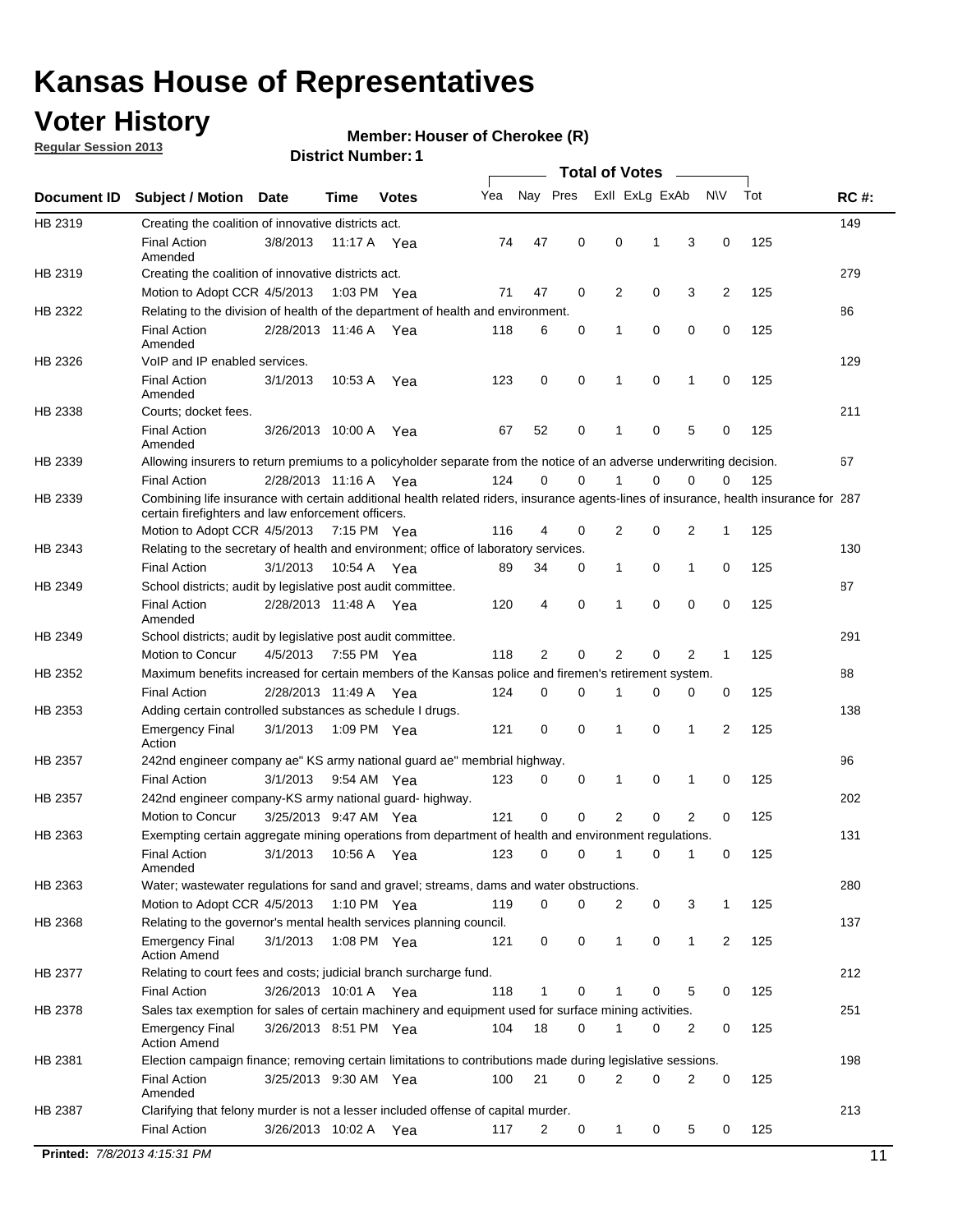## **Voter History**

**Member: Houser of Cherokee (R)** 

**Regular Session 2013**

#### **District Number: 1**

|             |                                                                     |                       |             |              |                                                                                                                                       |                  | <b>Total of Votes</b> |             |                |              |     |             |
|-------------|---------------------------------------------------------------------|-----------------------|-------------|--------------|---------------------------------------------------------------------------------------------------------------------------------------|------------------|-----------------------|-------------|----------------|--------------|-----|-------------|
| Document ID | <b>Subject / Motion</b>                                             | <b>Date</b>           | Time        | <b>Votes</b> | Yea                                                                                                                                   | Nay Pres         | Exll ExLg ExAb        |             |                | <b>NV</b>    | Tot | <b>RC#:</b> |
| HB 2319     | Creating the coalition of innovative districts act.                 |                       |             |              |                                                                                                                                       |                  |                       |             |                |              |     | 149         |
|             | <b>Final Action</b><br>Amended                                      | 3/8/2013              |             | 11:17 A Yea  | 74                                                                                                                                    | 47<br>0          | 0                     | 1           | 3              | 0            | 125 |             |
| HB 2319     | Creating the coalition of innovative districts act.                 |                       |             |              |                                                                                                                                       |                  |                       |             |                |              |     | 279         |
|             | Motion to Adopt CCR 4/5/2013                                        |                       |             | 1:03 PM Yea  | 71                                                                                                                                    | 47<br>0          | 2                     | 0           | 3              | 2            | 125 |             |
| HB 2322     |                                                                     |                       |             |              | Relating to the division of health of the department of health and environment.                                                       |                  |                       |             |                |              |     | 86          |
|             | <b>Final Action</b><br>Amended                                      | 2/28/2013 11:46 A Yea |             |              | 118                                                                                                                                   | 0<br>6           | 1                     | 0           | 0              | 0            | 125 |             |
| HB 2326     | VoIP and IP enabled services.                                       |                       |             |              |                                                                                                                                       |                  |                       |             |                |              |     | 129         |
|             | <b>Final Action</b><br>Amended                                      | 3/1/2013              | 10:53 A     | Yea          | 123                                                                                                                                   | 0<br>0           | 1                     | $\mathbf 0$ | 1              | 0            | 125 |             |
| HB 2338     | Courts; docket fees.                                                |                       |             |              |                                                                                                                                       |                  |                       |             |                |              |     | 211         |
|             | <b>Final Action</b><br>Amended                                      | 3/26/2013 10:00 A     |             | Yea          | 67                                                                                                                                    | 0<br>52          | 1                     | 0           | 5              | 0            | 125 |             |
| HB 2339     |                                                                     |                       |             |              | Allowing insurers to return premiums to a policyholder separate from the notice of an adverse underwriting decision.                  |                  |                       |             |                |              |     | 67          |
|             | <b>Final Action</b>                                                 | 2/28/2013 11:16 A Yea |             |              | 124                                                                                                                                   | 0<br>0           | 1                     | 0           | 0              | 0            | 125 |             |
| HB 2339     | certain firefighters and law enforcement officers.                  |                       |             |              | Combining life insurance with certain additional health related riders, insurance agents-lines of insurance, health insurance for 287 |                  |                       |             |                |              |     |             |
|             | Motion to Adopt CCR 4/5/2013 7:15 PM Yea                            |                       |             |              | 116                                                                                                                                   | 4<br>0           | 2                     | 0           | 2              | 1            | 125 |             |
| HB 2343     |                                                                     |                       |             |              | Relating to the secretary of health and environment; office of laboratory services.                                                   |                  |                       |             |                |              |     | 130         |
|             | <b>Final Action</b>                                                 | 3/1/2013              | 10:54 A Yea |              | 89                                                                                                                                    | 34<br>0          | 1                     | 0           | 1              | 0            | 125 |             |
| HB 2349     | School districts; audit by legislative post audit committee.        |                       |             |              |                                                                                                                                       |                  |                       |             |                |              |     | 87          |
|             | <b>Final Action</b><br>Amended                                      | 2/28/2013 11:48 A Yea |             |              | 120                                                                                                                                   | 0<br>4           | 1                     | 0           | 0              | $\mathbf 0$  | 125 |             |
| HB 2349     | School districts; audit by legislative post audit committee.        |                       |             |              |                                                                                                                                       |                  |                       |             |                |              |     | 291         |
|             | Motion to Concur                                                    | 4/5/2013              |             | 7:55 PM Yea  | 118                                                                                                                                   | 2<br>0           | 2                     | 0           | 2              | $\mathbf{1}$ | 125 |             |
| HB 2352     |                                                                     |                       |             |              | Maximum benefits increased for certain members of the Kansas police and firemen's retirement system.                                  |                  |                       |             |                |              |     | 88          |
|             | <b>Final Action</b>                                                 | 2/28/2013 11:49 A     |             | Yea          | 124                                                                                                                                   | 0<br>0           | 1                     | 0           | 0              | 0            | 125 |             |
| HB 2353     | Adding certain controlled substances as schedule I drugs.           |                       |             |              |                                                                                                                                       |                  |                       |             |                |              |     | 138         |
|             | <b>Emergency Final</b><br>Action                                    | 3/1/2013              |             | 1:09 PM Yea  | 121                                                                                                                                   | 0<br>0           | $\mathbf 1$           | 0           | 1              | 2            | 125 |             |
| HB 2357     |                                                                     |                       |             |              | 242nd engineer company ae" KS army national guard ae" membrial highway.                                                               |                  |                       |             |                |              |     | 96          |
|             | <b>Final Action</b>                                                 | 3/1/2013              |             | 9:54 AM Yea  | 123                                                                                                                                   | 0<br>0           | 1                     | 0           | 1              | 0            | 125 |             |
| HB 2357     | 242nd engineer company-KS army national guard- highway.             |                       |             |              |                                                                                                                                       |                  |                       |             |                |              |     | 202         |
|             | Motion to Concur                                                    | 3/25/2013 9:47 AM Yea |             |              | 121                                                                                                                                   | $\mathbf 0$<br>0 | 2                     | 0           | $\overline{2}$ | 0            | 125 |             |
| HB 2363     |                                                                     |                       |             |              | Exempting certain aggregate mining operations from department of health and environment regulations.                                  |                  |                       |             |                |              |     | 131         |
|             | <b>Final Action</b><br>Amended                                      | 3/1/2013              |             | 10:56 A Yea  | 123                                                                                                                                   | 0<br>0           | $\mathbf{1}$          | 0           | 1              | 0            | 125 |             |
| HB 2363     |                                                                     |                       |             |              | Water; wastewater regulations for sand and gravel; streams, dams and water obstructions.                                              |                  |                       |             |                |              |     | 280         |
|             | Motion to Adopt CCR 4/5/2013                                        |                       |             | 1:10 PM Yea  | 119                                                                                                                                   | 0<br>0           | 2                     | 0           | 3              | 1            | 125 |             |
| HB 2368     | Relating to the governor's mental health services planning council. |                       |             |              |                                                                                                                                       |                  |                       |             |                |              |     | 137         |
|             | <b>Emergency Final</b><br><b>Action Amend</b>                       | 3/1/2013              |             | 1:08 PM Yea  | 121                                                                                                                                   | 0<br>0           | 1                     | 0           | 1              | 2            | 125 |             |
| HB 2377     | Relating to court fees and costs; judicial branch surcharge fund.   |                       |             |              |                                                                                                                                       |                  |                       |             |                |              |     | 212         |
|             | <b>Final Action</b>                                                 | 3/26/2013 10:01 A Yea |             |              | 118                                                                                                                                   | 0<br>1           | 1                     | 0           | 5              | 0            | 125 |             |
| HB 2378     |                                                                     |                       |             |              | Sales tax exemption for sales of certain machinery and equipment used for surface mining activities.                                  |                  |                       |             |                |              |     | 251         |
|             | <b>Emergency Final</b><br><b>Action Amend</b>                       | 3/26/2013 8:51 PM Yea |             |              | 104                                                                                                                                   | 18<br>0          | 1                     | 0           | 2              | 0            | 125 |             |
| HB 2381     |                                                                     |                       |             |              | Election campaign finance; removing certain limitations to contributions made during legislative sessions.                            |                  |                       |             |                |              |     | 198         |
|             | <b>Final Action</b><br>Amended                                      | 3/25/2013 9:30 AM Yea |             |              | 100                                                                                                                                   | 21<br>0          | 2                     | 0           | $\overline{2}$ | 0            | 125 |             |
| HB 2387     |                                                                     |                       |             |              | Clarifying that felony murder is not a lesser included offense of capital murder.                                                     |                  |                       |             |                |              |     | 213         |
|             | <b>Final Action</b>                                                 | 3/26/2013 10:02 A Yea |             |              | 117                                                                                                                                   | 2<br>0           | $\mathbf 1$           | 0           | 5              | 0            | 125 |             |

**Printed:**  $7/8/20134:15:31 \text{ PM}$  11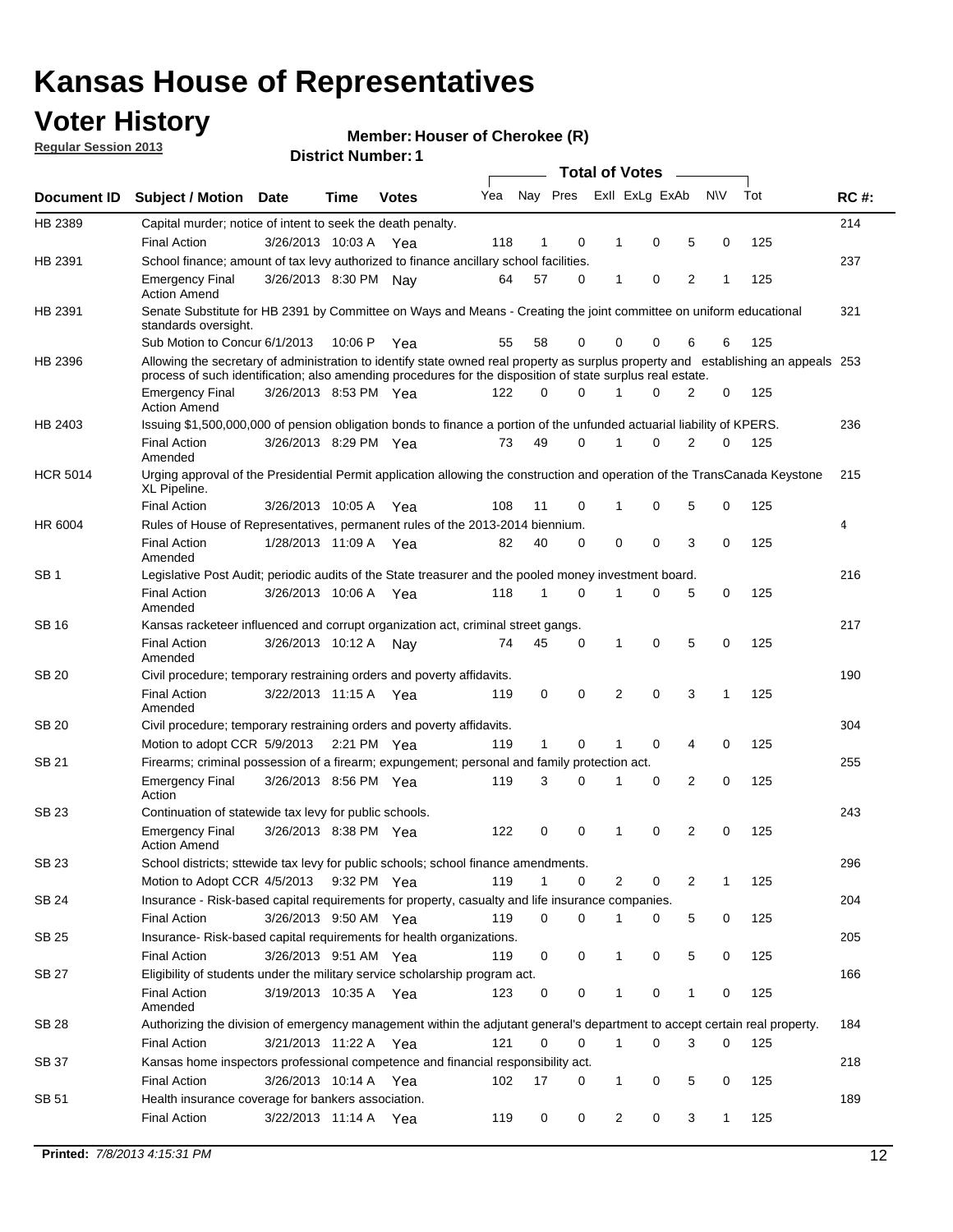## **Voter History**

**Member: Houser of Cherokee (R)** 

**Regular Session 2013**

|                 |                                                                                                                                                                                                                                                  |                       |             |              |     |              |          | <b>Total of Votes</b> |   |   |              |     |             |
|-----------------|--------------------------------------------------------------------------------------------------------------------------------------------------------------------------------------------------------------------------------------------------|-----------------------|-------------|--------------|-----|--------------|----------|-----------------------|---|---|--------------|-----|-------------|
| Document ID     | Subject / Motion Date                                                                                                                                                                                                                            |                       | Time        | <b>Votes</b> | Yea | Nay Pres     |          | Exll ExLg ExAb        |   |   | <b>NV</b>    | Tot | <b>RC#:</b> |
| HB 2389         | Capital murder; notice of intent to seek the death penalty.                                                                                                                                                                                      |                       |             |              |     |              |          |                       |   |   |              |     | 214         |
|                 | <b>Final Action</b>                                                                                                                                                                                                                              | 3/26/2013 10:03 A     |             | Yea          | 118 | 1            | 0        | 1                     | 0 | 5 | 0            | 125 |             |
| HB 2391         | School finance; amount of tax levy authorized to finance ancillary school facilities.                                                                                                                                                            |                       |             |              |     |              |          |                       |   |   |              |     | 237         |
|                 | <b>Emergency Final</b><br><b>Action Amend</b>                                                                                                                                                                                                    | 3/26/2013 8:30 PM Nav |             |              | 64  | 57           | 0        | $\mathbf{1}$          | 0 | 2 | 1            | 125 |             |
| HB 2391         | Senate Substitute for HB 2391 by Committee on Ways and Means - Creating the joint committee on uniform educational<br>standards oversight.                                                                                                       |                       |             |              |     |              |          |                       |   |   |              |     | 321         |
|                 | Sub Motion to Concur 6/1/2013                                                                                                                                                                                                                    |                       | 10:06 P     | Yea          | 55  | 58           | 0        | 0                     | 0 | 6 | 6            | 125 |             |
| HB 2396         | Allowing the secretary of administration to identify state owned real property as surplus property and establishing an appeals 253<br>process of such identification; also amending procedures for the disposition of state surplus real estate. |                       |             |              |     |              |          |                       |   |   |              |     |             |
|                 | <b>Emergency Final</b><br>Action Amend                                                                                                                                                                                                           | 3/26/2013 8:53 PM Yea |             |              | 122 | 0            | 0        |                       | 0 | 2 | 0            | 125 |             |
| HB 2403         | Issuing \$1,500,000,000 of pension obligation bonds to finance a portion of the unfunded actuarial liability of KPERS.                                                                                                                           |                       |             |              |     |              |          |                       |   |   |              |     | 236         |
|                 | <b>Final Action</b><br>Amended                                                                                                                                                                                                                   | 3/26/2013 8:29 PM Yea |             |              | 73  | 49           | 0        | 1                     | 0 | 2 | 0            | 125 |             |
| <b>HCR 5014</b> | Urging approval of the Presidential Permit application allowing the construction and operation of the TransCanada Keystone<br>XL Pipeline.                                                                                                       |                       |             |              |     |              |          |                       |   |   |              |     | 215         |
|                 | <b>Final Action</b>                                                                                                                                                                                                                              | 3/26/2013 10:05 A     |             | Yea          | 108 | 11           | 0        |                       | 0 | 5 | 0            | 125 |             |
| HR 6004         | Rules of House of Representatives, permanent rules of the 2013-2014 biennium.                                                                                                                                                                    |                       |             |              |     |              |          |                       |   |   |              |     | 4           |
|                 | <b>Final Action</b><br>Amended                                                                                                                                                                                                                   | 1/28/2013 11:09 A     |             | Yea          | 82  | 40           | 0        | 0                     | 0 | 3 | 0            | 125 |             |
| SB 1            | Legislative Post Audit; periodic audits of the State treasurer and the pooled money investment board.                                                                                                                                            |                       |             |              |     |              |          |                       |   |   |              |     | 216         |
|                 | <b>Final Action</b><br>Amended                                                                                                                                                                                                                   | 3/26/2013 10:06 A     |             | Yea          | 118 | 1            | 0        | 1                     | 0 | 5 | 0            | 125 |             |
| SB 16           | Kansas racketeer influenced and corrupt organization act, criminal street gangs.                                                                                                                                                                 |                       |             |              |     |              |          |                       |   |   |              |     | 217         |
|                 | <b>Final Action</b><br>Amended                                                                                                                                                                                                                   | 3/26/2013 10:12 A Nay |             |              | 74  | 45           | 0        | 1                     | 0 | 5 | 0            | 125 |             |
| SB 20           | Civil procedure; temporary restraining orders and poverty affidavits.                                                                                                                                                                            |                       |             |              |     |              |          |                       |   |   |              |     | 190         |
|                 | <b>Final Action</b><br>Amended                                                                                                                                                                                                                   | 3/22/2013 11:15 A     |             | Yea          | 119 | 0            | 0        | 2                     | 0 | 3 | 1            | 125 |             |
| SB 20           | Civil procedure; temporary restraining orders and poverty affidavits.                                                                                                                                                                            |                       |             |              |     |              |          |                       |   |   |              |     | 304         |
|                 | Motion to adopt CCR 5/9/2013                                                                                                                                                                                                                     |                       | 2:21 PM Yea |              | 119 | $\mathbf{1}$ | 0        | 1                     | 0 | 4 | 0            | 125 |             |
| SB 21           | Firearms; criminal possession of a firearm; expungement; personal and family protection act.                                                                                                                                                     |                       |             |              |     |              |          |                       |   |   |              |     | 255         |
|                 | <b>Emergency Final</b><br>Action                                                                                                                                                                                                                 | 3/26/2013 8:56 PM Yea |             |              | 119 | 3            | 0        |                       | 0 | 2 | 0            | 125 |             |
| SB 23           | Continuation of statewide tax levy for public schools.                                                                                                                                                                                           |                       |             |              |     |              |          |                       |   |   |              |     | 243         |
|                 | <b>Emergency Final</b><br><b>Action Amend</b>                                                                                                                                                                                                    | 3/26/2013 8:38 PM Yea |             |              | 122 | 0            | 0        | 1                     | 0 | 2 | 0            | 125 |             |
| <b>SB 23</b>    | School districts; sttewide tax levy for public schools; school finance amendments.                                                                                                                                                               |                       |             |              |     |              |          |                       |   |   |              |     | 296         |
|                 | Motion to Adopt CCR 4/5/2013 9:32 PM Yea                                                                                                                                                                                                         |                       |             |              | 119 | 1            | 0        | 2                     | 0 | 2 | 1            | 125 |             |
| <b>SB 24</b>    | Insurance - Risk-based capital requirements for property, casualty and life insurance companies.                                                                                                                                                 |                       |             |              |     |              |          |                       |   |   |              |     | 204         |
|                 | <b>Final Action</b>                                                                                                                                                                                                                              | 3/26/2013 9:50 AM Yea |             |              | 119 | 0            | 0        |                       | 0 | 5 | 0            | 125 |             |
| SB 25           | Insurance-Risk-based capital requirements for health organizations.                                                                                                                                                                              |                       |             |              |     |              |          |                       |   |   |              |     | 205         |
|                 | <b>Final Action</b>                                                                                                                                                                                                                              | 3/26/2013 9:51 AM Yea |             |              | 119 | 0            | 0        | 1                     | 0 | 5 | 0            | 125 |             |
| SB 27           | Eligibility of students under the military service scholarship program act.                                                                                                                                                                      |                       |             |              |     |              |          |                       |   |   |              |     | 166         |
|                 | <b>Final Action</b><br>Amended                                                                                                                                                                                                                   | 3/19/2013 10:35 A Yea |             |              | 123 | 0            | 0        |                       | 0 | 1 | 0            | 125 |             |
| SB 28           | Authorizing the division of emergency management within the adjutant general's department to accept certain real property.                                                                                                                       |                       |             |              |     |              |          |                       |   |   |              |     | 184         |
|                 | <b>Final Action</b>                                                                                                                                                                                                                              | 3/21/2013 11:22 A Yea |             |              | 121 | 0            | $\Omega$ | 1                     | 0 | 3 | $\Omega$     | 125 |             |
| SB 37           | Kansas home inspectors professional competence and financial responsibility act.                                                                                                                                                                 |                       |             |              |     |              |          |                       |   |   |              |     | 218         |
|                 | <b>Final Action</b>                                                                                                                                                                                                                              | 3/26/2013 10:14 A Yea |             |              | 102 | 17           | 0        | 1                     | 0 | 5 | 0            | 125 |             |
| SB 51           | Health insurance coverage for bankers association.                                                                                                                                                                                               |                       |             |              |     |              |          |                       |   |   |              |     | 189         |
|                 | <b>Final Action</b>                                                                                                                                                                                                                              | 3/22/2013 11:14 A Yea |             |              | 119 | 0            | 0        | 2                     | 0 | 3 | $\mathbf{1}$ | 125 |             |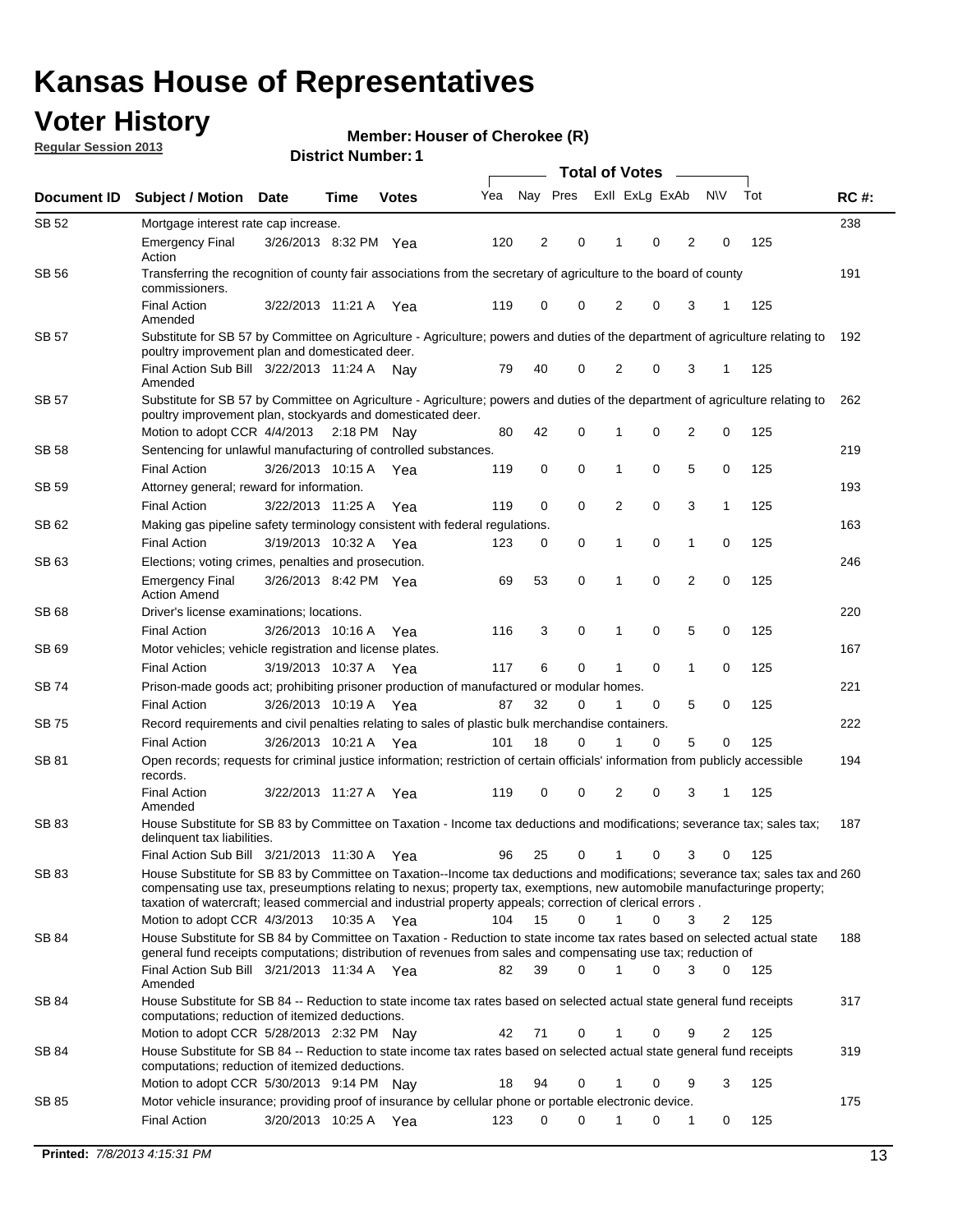## **Voter History**

**Member: Houser of Cherokee (R)** 

**Regular Session 2013**

| Document ID  | <b>Subject / Motion Date</b>                                                                                                                                                                                                                                                                                                                                                                            |                       | Time        | <b>Votes</b> | Yea | Nay Pres |             | Exll ExLg ExAb |   |                | <b>NV</b> | Tot | <b>RC#:</b> |
|--------------|---------------------------------------------------------------------------------------------------------------------------------------------------------------------------------------------------------------------------------------------------------------------------------------------------------------------------------------------------------------------------------------------------------|-----------------------|-------------|--------------|-----|----------|-------------|----------------|---|----------------|-----------|-----|-------------|
| SB 52        | Mortgage interest rate cap increase.                                                                                                                                                                                                                                                                                                                                                                    |                       |             |              |     |          |             |                |   |                |           |     | 238         |
|              | <b>Emergency Final</b><br>Action                                                                                                                                                                                                                                                                                                                                                                        | 3/26/2013 8:32 PM Yea |             |              | 120 | 2        | 0           | 1              | 0 | 2              | 0         | 125 |             |
| <b>SB 56</b> | Transferring the recognition of county fair associations from the secretary of agriculture to the board of county<br>commissioners.                                                                                                                                                                                                                                                                     |                       |             |              |     |          |             |                |   |                |           |     | 191         |
|              | <b>Final Action</b><br>Amended                                                                                                                                                                                                                                                                                                                                                                          | 3/22/2013 11:21 A     |             | Yea          | 119 | 0        | 0           | 2              | 0 | 3              | 1         | 125 |             |
| <b>SB 57</b> | Substitute for SB 57 by Committee on Agriculture - Agriculture; powers and duties of the department of agriculture relating to<br>poultry improvement plan and domesticated deer.                                                                                                                                                                                                                       |                       |             |              |     |          |             |                |   |                |           |     | 192         |
|              | Final Action Sub Bill 3/22/2013 11:24 A Nav<br>Amended                                                                                                                                                                                                                                                                                                                                                  |                       |             |              | 79  | 40       | 0           | 2              | 0 | 3              | 1         | 125 |             |
| SB 57        | Substitute for SB 57 by Committee on Agriculture - Agriculture; powers and duties of the department of agriculture relating to<br>poultry improvement plan, stockyards and domesticated deer.                                                                                                                                                                                                           |                       |             |              |     |          |             |                |   |                |           |     | 262         |
|              | Motion to adopt CCR 4/4/2013                                                                                                                                                                                                                                                                                                                                                                            |                       | 2:18 PM Nay |              | 80  | 42       | 0           |                | 0 | 2              | 0         | 125 |             |
| SB 58        | Sentencing for unlawful manufacturing of controlled substances.                                                                                                                                                                                                                                                                                                                                         |                       |             |              |     |          |             |                |   |                |           |     | 219         |
|              | <b>Final Action</b>                                                                                                                                                                                                                                                                                                                                                                                     | 3/26/2013 10:15 A     |             | Yea          | 119 | 0        | 0           | 1              | 0 | 5              | 0         | 125 |             |
| <b>SB 59</b> | Attorney general; reward for information.                                                                                                                                                                                                                                                                                                                                                               |                       |             |              |     |          |             |                |   |                |           |     | 193         |
|              | <b>Final Action</b>                                                                                                                                                                                                                                                                                                                                                                                     | 3/22/2013 11:25 A     |             | Yea          | 119 | 0        | $\mathbf 0$ | 2              | 0 | 3              | 1         | 125 |             |
| SB 62        | Making gas pipeline safety terminology consistent with federal regulations.                                                                                                                                                                                                                                                                                                                             |                       |             |              |     |          |             |                |   |                |           |     | 163         |
|              | <b>Final Action</b>                                                                                                                                                                                                                                                                                                                                                                                     | 3/19/2013 10:32 A     |             | Yea          | 123 | 0        | 0           | 1              | 0 | 1              | 0         | 125 |             |
| SB 63        | Elections; voting crimes, penalties and prosecution.                                                                                                                                                                                                                                                                                                                                                    |                       |             |              |     |          |             |                |   |                |           |     | 246         |
|              | <b>Emergency Final</b><br><b>Action Amend</b>                                                                                                                                                                                                                                                                                                                                                           | 3/26/2013 8:42 PM Yea |             |              | 69  | 53       | $\mathbf 0$ | 1              | 0 | $\overline{2}$ | 0         | 125 |             |
| SB 68        | Driver's license examinations; locations.                                                                                                                                                                                                                                                                                                                                                               |                       |             |              |     |          |             |                |   |                |           |     | 220         |
|              | <b>Final Action</b>                                                                                                                                                                                                                                                                                                                                                                                     | 3/26/2013 10:16 A     |             | Yea          | 116 | 3        | 0           | 1              | 0 | 5              | 0         | 125 |             |
| SB 69        | Motor vehicles; vehicle registration and license plates.                                                                                                                                                                                                                                                                                                                                                |                       |             |              |     |          |             |                |   |                |           |     | 167         |
|              | <b>Final Action</b>                                                                                                                                                                                                                                                                                                                                                                                     | 3/19/2013 10:37 A     |             | Yea          | 117 | 6        | 0           | 1              | 0 | 1              | 0         | 125 |             |
| SB 74        | Prison-made goods act; prohibiting prisoner production of manufactured or modular homes.                                                                                                                                                                                                                                                                                                                |                       |             |              |     |          |             |                |   |                |           |     | 221         |
|              | <b>Final Action</b>                                                                                                                                                                                                                                                                                                                                                                                     | 3/26/2013 10:19 A     |             | Yea          | 87  | 32       | 0           | 1              | 0 | 5              | 0         | 125 |             |
| SB 75        | Record requirements and civil penalties relating to sales of plastic bulk merchandise containers.                                                                                                                                                                                                                                                                                                       |                       |             |              |     |          |             |                |   |                |           |     | 222         |
|              | <b>Final Action</b>                                                                                                                                                                                                                                                                                                                                                                                     | 3/26/2013 10:21 A     |             | Yea          | 101 | 18       | 0           |                | 0 | 5              | 0         | 125 |             |
| SB 81        | Open records; requests for criminal justice information; restriction of certain officials' information from publicly accessible<br>records.<br><b>Final Action</b>                                                                                                                                                                                                                                      |                       |             |              | 119 | 0        | 0           | 2              | 0 | 3              | 1         | 125 | 194         |
|              | Amended                                                                                                                                                                                                                                                                                                                                                                                                 | 3/22/2013 11:27 A     |             | Yea          |     |          |             |                |   |                |           |     |             |
| SB 83        | House Substitute for SB 83 by Committee on Taxation - Income tax deductions and modifications; severance tax; sales tax;<br>delinquent tax liabilities.                                                                                                                                                                                                                                                 |                       |             |              |     |          |             |                |   |                |           |     | 187         |
|              | Final Action Sub Bill 3/21/2013 11:30 A                                                                                                                                                                                                                                                                                                                                                                 |                       |             | Yea          | 96  | 25       | 0           | 1              | 0 | 3              | 0         | 125 |             |
| SB 83        | House Substitute for SB 83 by Committee on Taxation--Income tax deductions and modifications; severance tax; sales tax and 260<br>compensating use tax, preseumptions relating to nexus; property tax, exemptions, new automobile manufacturinge property;<br>taxation of watercraft; leased commercial and industrial property appeals; correction of clerical errors.<br>Motion to adopt CCR 4/3/2013 |                       | 10:35 A Yea |              | 104 | 15       | $\Omega$    | $\mathbf 1$    | 0 | 3              | 2         | 125 |             |
| SB 84        | House Substitute for SB 84 by Committee on Taxation - Reduction to state income tax rates based on selected actual state                                                                                                                                                                                                                                                                                |                       |             |              |     |          |             |                |   |                |           |     | 188         |
|              | general fund receipts computations; distribution of revenues from sales and compensating use tax; reduction of<br>Final Action Sub Bill 3/21/2013 11:34 A Yea                                                                                                                                                                                                                                           |                       |             |              | 82  | 39       | $\Omega$    |                | 0 | 3              | $\Omega$  | 125 |             |
|              | Amended                                                                                                                                                                                                                                                                                                                                                                                                 |                       |             |              |     |          |             |                |   |                |           |     |             |
| SB 84        | House Substitute for SB 84 -- Reduction to state income tax rates based on selected actual state general fund receipts<br>computations; reduction of itemized deductions.                                                                                                                                                                                                                               |                       |             |              |     |          |             |                |   |                |           |     | 317         |
|              | Motion to adopt CCR 5/28/2013 2:32 PM Nay                                                                                                                                                                                                                                                                                                                                                               |                       |             |              | 42  | 71       | 0           |                | 0 | 9              | 2         | 125 |             |
| SB 84        | House Substitute for SB 84 -- Reduction to state income tax rates based on selected actual state general fund receipts<br>computations; reduction of itemized deductions.                                                                                                                                                                                                                               |                       |             |              |     |          |             |                |   |                |           |     | 319         |
|              | Motion to adopt CCR 5/30/2013 9:14 PM Nav                                                                                                                                                                                                                                                                                                                                                               |                       |             |              | 18  | 94       | 0           |                | 0 | 9              | 3         | 125 |             |
| SB 85        | Motor vehicle insurance; providing proof of insurance by cellular phone or portable electronic device.                                                                                                                                                                                                                                                                                                  |                       |             |              |     |          |             |                |   |                |           |     | 175         |
|              | <b>Final Action</b>                                                                                                                                                                                                                                                                                                                                                                                     | 3/20/2013 10:25 A Yea |             |              | 123 | 0        | 0           |                | 0 | 1              | 0         | 125 |             |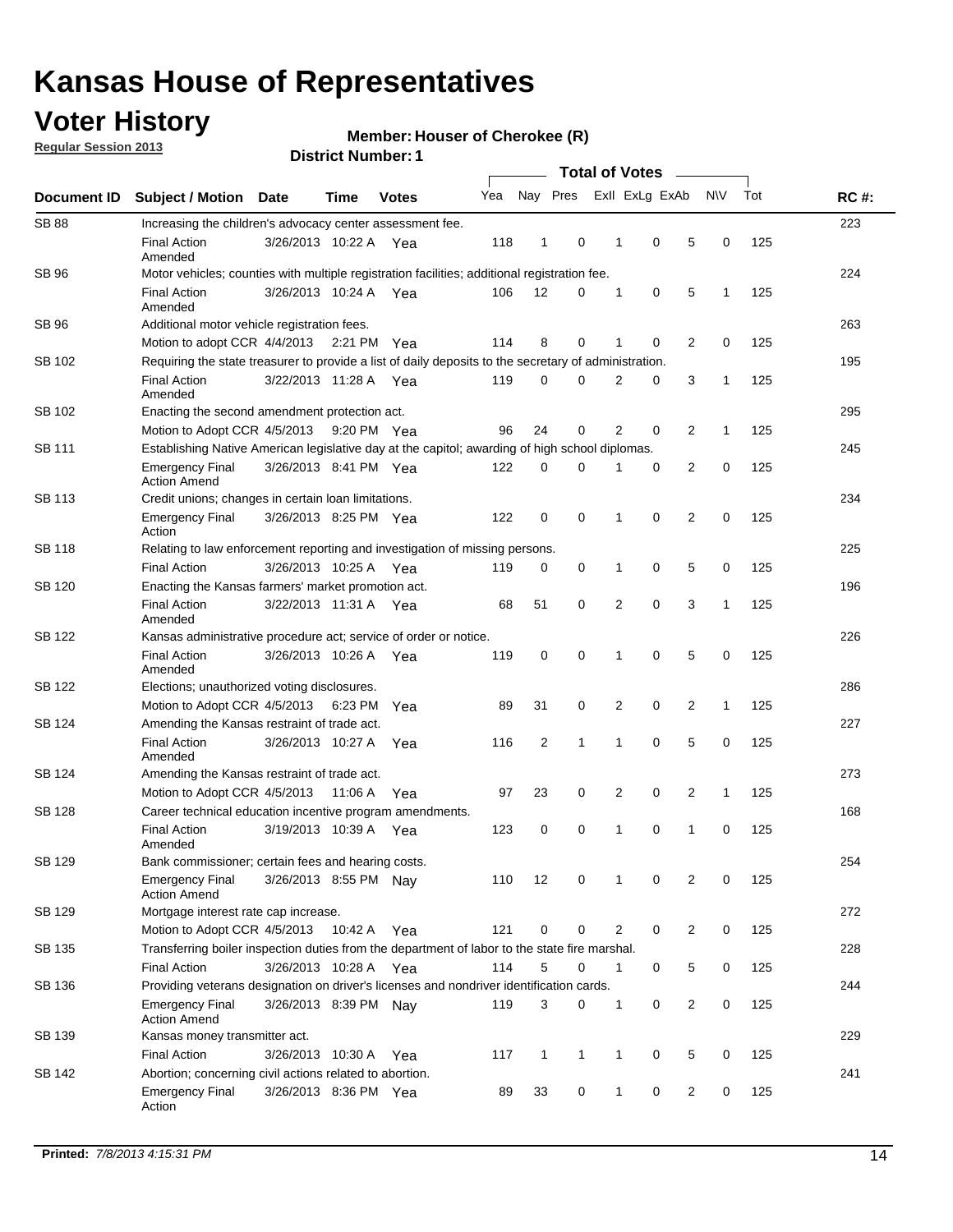## **Voter History**

**Member: Houser of Cherokee (R)** 

**Regular Session 2013**

| Document ID   |                                                                                                       |                                                                                                         |         |              |     |                |              |                |             |   |              |     |             |  |  |  |  |  |  |  |  |
|---------------|-------------------------------------------------------------------------------------------------------|---------------------------------------------------------------------------------------------------------|---------|--------------|-----|----------------|--------------|----------------|-------------|---|--------------|-----|-------------|--|--|--|--|--|--|--|--|
|               | Subject / Motion                                                                                      | <b>Date</b>                                                                                             | Time    | <b>Votes</b> | Yea | Nay Pres       |              | Exll ExLg ExAb |             |   | <b>NV</b>    | Tot | <b>RC#:</b> |  |  |  |  |  |  |  |  |
| <b>SB 88</b>  | Increasing the children's advocacy center assessment fee.                                             |                                                                                                         |         |              |     |                |              |                |             |   |              |     | 223         |  |  |  |  |  |  |  |  |
|               | <b>Final Action</b><br>Amended                                                                        | 3/26/2013 10:22 A                                                                                       |         | Yea          | 118 | 1              | 0            | 1              | 0           | 5 | 0            | 125 |             |  |  |  |  |  |  |  |  |
| SB 96         | Motor vehicles; counties with multiple registration facilities; additional registration fee.          |                                                                                                         |         |              |     |                |              |                |             |   |              |     | 224         |  |  |  |  |  |  |  |  |
|               | <b>Final Action</b><br>Amended                                                                        | 3/26/2013 10:24 A Yea                                                                                   |         |              | 106 | 12             | 0            | 1              | 0           | 5 | 1            | 125 |             |  |  |  |  |  |  |  |  |
| SB 96         | Additional motor vehicle registration fees.                                                           |                                                                                                         |         |              |     |                |              |                |             |   |              |     | 263         |  |  |  |  |  |  |  |  |
|               | Motion to adopt CCR 4/4/2013 2:21 PM                                                                  |                                                                                                         |         | Yea          | 114 | 8              | 0            | 1              | 0           | 2 | 0            | 125 |             |  |  |  |  |  |  |  |  |
| SB 102        | Requiring the state treasurer to provide a list of daily deposits to the secretary of administration. |                                                                                                         |         |              |     |                |              |                |             |   |              |     | 195         |  |  |  |  |  |  |  |  |
|               | <b>Final Action</b><br>Amended                                                                        | 3/22/2013 11:28 A Yea                                                                                   |         |              | 119 | 0              | 0            | $\overline{2}$ | 0           | 3 | 1            | 125 |             |  |  |  |  |  |  |  |  |
| SB 102        | Enacting the second amendment protection act.                                                         |                                                                                                         |         |              |     |                |              |                |             |   |              |     |             |  |  |  |  |  |  |  |  |
|               | Motion to Adopt CCR 4/5/2013                                                                          |                                                                                                         |         | 9:20 PM Yea  | 96  | 24             | 0            | 2              | 0           | 2 | 1            | 125 |             |  |  |  |  |  |  |  |  |
| SB 111        | Establishing Native American legislative day at the capitol; awarding of high school diplomas.        |                                                                                                         |         |              |     |                |              |                |             |   |              |     |             |  |  |  |  |  |  |  |  |
|               | <b>Emergency Final</b><br><b>Action Amend</b>                                                         | 3/26/2013 8:41 PM Yea                                                                                   |         |              | 122 | 0              | 0            | 1              | 0           | 2 | 0            | 125 |             |  |  |  |  |  |  |  |  |
| <b>SB 113</b> | Credit unions; changes in certain loan limitations.                                                   |                                                                                                         |         |              |     |                |              |                |             |   |              |     | 234         |  |  |  |  |  |  |  |  |
|               | <b>Emergency Final</b><br>Action                                                                      | 3/26/2013 8:25 PM Yea                                                                                   |         |              | 122 | 0              | 0            | 1              | 0           | 2 | 0            | 125 |             |  |  |  |  |  |  |  |  |
| SB 118        |                                                                                                       | Relating to law enforcement reporting and investigation of missing persons.<br>225                      |         |              |     |                |              |                |             |   |              |     |             |  |  |  |  |  |  |  |  |
|               | <b>Final Action</b>                                                                                   | 3/26/2013 10:25 A Yea                                                                                   |         |              | 119 | 0              | 0            | 1              | 0           | 5 | 0            | 125 |             |  |  |  |  |  |  |  |  |
| SB 120        | Enacting the Kansas farmers' market promotion act.                                                    |                                                                                                         |         |              |     |                |              |                |             |   |              |     | 196         |  |  |  |  |  |  |  |  |
|               | <b>Final Action</b><br>Amended                                                                        | 3/22/2013 11:31 A Yea                                                                                   |         |              | 68  | 51             | 0            | 2              | 0           | 3 | 1            | 125 |             |  |  |  |  |  |  |  |  |
| SB 122        | Kansas administrative procedure act; service of order or notice.                                      |                                                                                                         |         |              |     |                |              |                |             |   |              |     | 226         |  |  |  |  |  |  |  |  |
|               | <b>Final Action</b><br>Amended                                                                        | 3/26/2013 10:26 A                                                                                       |         | Yea          | 119 | 0              | 0            | 1              | $\mathbf 0$ | 5 | 0            | 125 |             |  |  |  |  |  |  |  |  |
| SB 122        | Elections; unauthorized voting disclosures.                                                           |                                                                                                         |         |              |     |                |              |                |             |   |              |     | 286         |  |  |  |  |  |  |  |  |
|               | 2<br>0<br>2<br>125<br>Motion to Adopt CCR 4/5/2013<br>89<br>31<br>0<br>1<br>6:23 PM<br>Yea            |                                                                                                         |         |              |     |                |              |                |             |   |              |     |             |  |  |  |  |  |  |  |  |
| SB 124        | Amending the Kansas restraint of trade act.                                                           |                                                                                                         |         |              |     |                |              |                |             |   |              |     | 227         |  |  |  |  |  |  |  |  |
|               | <b>Final Action</b><br>Amended                                                                        | 3/26/2013 10:27 A                                                                                       |         | Yea          | 116 | $\overline{2}$ | 1            | 1              | $\mathbf 0$ | 5 | 0            | 125 |             |  |  |  |  |  |  |  |  |
| SB 124        |                                                                                                       | 273<br>Amending the Kansas restraint of trade act.                                                      |         |              |     |                |              |                |             |   |              |     |             |  |  |  |  |  |  |  |  |
|               | Motion to Adopt CCR 4/5/2013                                                                          |                                                                                                         | 11:06 A | Yea          | 97  | 23             | 0            | 2              | 0           | 2 | $\mathbf{1}$ | 125 |             |  |  |  |  |  |  |  |  |
| <b>SB 128</b> | Career technical education incentive program amendments.                                              |                                                                                                         |         |              |     |                |              |                |             |   |              |     | 168         |  |  |  |  |  |  |  |  |
|               | <b>Final Action</b><br>Amended                                                                        | 3/19/2013 10:39 A                                                                                       |         | Yea          | 123 | 0              | 0            | 1              | 0           | 1 | 0            | 125 |             |  |  |  |  |  |  |  |  |
| <b>SB 129</b> | Bank commissioner: certain fees and hearing costs.                                                    |                                                                                                         |         |              |     |                |              |                |             |   |              |     | 254         |  |  |  |  |  |  |  |  |
|               | <b>Emergency Final</b><br><b>Action Amend</b>                                                         | 3/26/2013 8:55 PM Nay                                                                                   |         |              | 110 | 12             | 0            | 1              | 0           | 2 | 0            | 125 |             |  |  |  |  |  |  |  |  |
| <b>SB 129</b> | Mortgage interest rate cap increase.                                                                  |                                                                                                         |         |              |     |                |              |                |             |   |              |     | 272         |  |  |  |  |  |  |  |  |
|               |                                                                                                       | 121<br>0<br>2<br>0<br>$\overline{2}$<br>0<br>125<br>Motion to Adopt CCR 4/5/2013<br>10:42 A<br>0<br>Yea |         |              |     |                |              |                |             |   |              |     |             |  |  |  |  |  |  |  |  |
| SB 135        | Transferring boiler inspection duties from the department of labor to the state fire marshal.         |                                                                                                         |         |              |     |                |              |                |             |   |              |     | 228         |  |  |  |  |  |  |  |  |
|               | <b>Final Action</b>                                                                                   | 3/26/2013 10:28 A Yea                                                                                   |         |              | 114 | 5              | 0            | 1              | 0           | 5 | 0            | 125 |             |  |  |  |  |  |  |  |  |
| SB 136        | Providing veterans designation on driver's licenses and nondriver identification cards.               |                                                                                                         |         |              |     |                |              |                |             |   |              |     | 244         |  |  |  |  |  |  |  |  |
|               | <b>Emergency Final</b><br><b>Action Amend</b>                                                         | 3/26/2013 8:39 PM Nay                                                                                   |         |              | 119 | 3              | 0            | 1              | 0           | 2 | 0            | 125 |             |  |  |  |  |  |  |  |  |
| SB 139        | Kansas money transmitter act.                                                                         |                                                                                                         |         |              |     |                |              |                |             |   |              |     | 229         |  |  |  |  |  |  |  |  |
|               | <b>Final Action</b>                                                                                   | 3/26/2013 10:30 A                                                                                       |         | Yea          | 117 | 1              | $\mathbf{1}$ | 1              | 0           | 5 | 0            | 125 |             |  |  |  |  |  |  |  |  |
| SB 142        | Abortion; concerning civil actions related to abortion.                                               |                                                                                                         |         |              |     |                |              |                |             |   |              |     | 241         |  |  |  |  |  |  |  |  |
|               | <b>Emergency Final</b><br>Action                                                                      | 3/26/2013 8:36 PM Yea                                                                                   |         |              | 89  | 33             | 0            | 1              | 0           | 2 | 0            | 125 |             |  |  |  |  |  |  |  |  |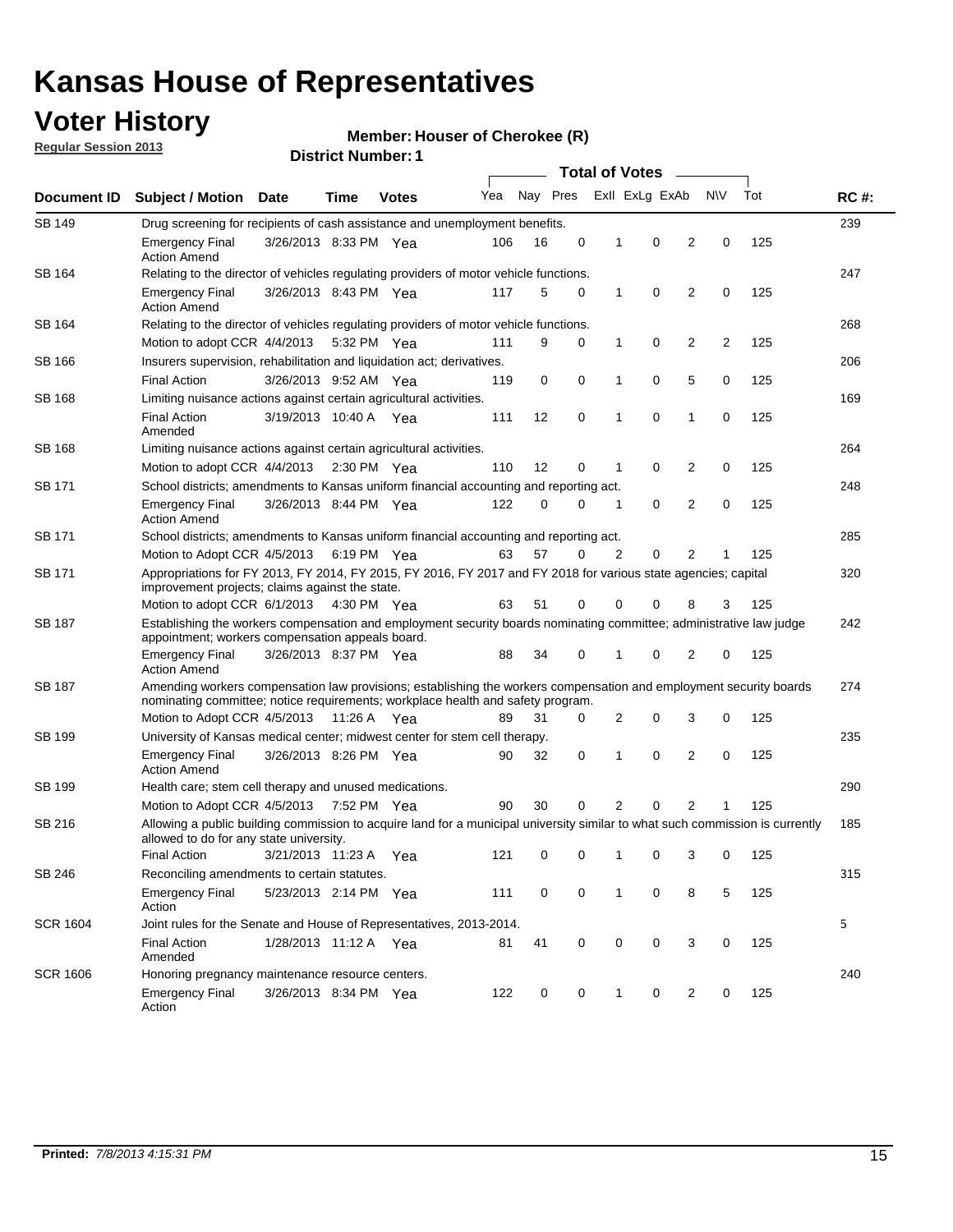## **Voter History**

**Member: Houser of Cherokee (R)** 

**Regular Session 2013**

|                 |                                                                                                                                                                                                   |                                                                                                                                                                                                       |             |                       | <b>Total of Votes</b> |          |   |                |   |                |           |     |             |
|-----------------|---------------------------------------------------------------------------------------------------------------------------------------------------------------------------------------------------|-------------------------------------------------------------------------------------------------------------------------------------------------------------------------------------------------------|-------------|-----------------------|-----------------------|----------|---|----------------|---|----------------|-----------|-----|-------------|
| Document ID     | <b>Subject / Motion</b>                                                                                                                                                                           | <b>Date</b>                                                                                                                                                                                           | Time        | <b>Votes</b>          | Yea                   | Nay Pres |   | Exll ExLg ExAb |   |                | <b>NV</b> | Tot | <b>RC#:</b> |
| SB 149          | 239<br>Drug screening for recipients of cash assistance and unemployment benefits.                                                                                                                |                                                                                                                                                                                                       |             |                       |                       |          |   |                |   |                |           |     |             |
|                 | <b>Emergency Final</b><br><b>Action Amend</b>                                                                                                                                                     | 3/26/2013 8:33 PM Yea                                                                                                                                                                                 |             |                       | 106                   | 16       | 0 | 1              | 0 | 2              | 0         | 125 |             |
| SB 164          |                                                                                                                                                                                                   | Relating to the director of vehicles regulating providers of motor vehicle functions.                                                                                                                 |             |                       |                       |          |   |                |   |                |           |     |             |
|                 | <b>Emergency Final</b><br><b>Action Amend</b>                                                                                                                                                     | 3/26/2013 8:43 PM Yea                                                                                                                                                                                 |             |                       | 117                   | 5        | 0 | 1              | 0 | $\overline{2}$ | 0         | 125 |             |
| SB 164          | Relating to the director of vehicles regulating providers of motor vehicle functions.                                                                                                             |                                                                                                                                                                                                       |             |                       |                       |          |   |                |   |                |           |     | 268         |
|                 | Motion to adopt CCR 4/4/2013                                                                                                                                                                      |                                                                                                                                                                                                       | 5:32 PM Yea |                       | 111                   | 9        | 0 | $\mathbf{1}$   | 0 | 2              | 2         | 125 |             |
| SB 166          | Insurers supervision, rehabilitation and liquidation act; derivatives.                                                                                                                            |                                                                                                                                                                                                       |             |                       |                       |          |   |                |   |                |           |     | 206         |
|                 | <b>Final Action</b>                                                                                                                                                                               | 3/26/2013 9:52 AM Yea                                                                                                                                                                                 |             |                       | 119                   | 0        | 0 | 1              | 0 | 5              | 0         | 125 |             |
| SB 168          | Limiting nuisance actions against certain agricultural activities.                                                                                                                                |                                                                                                                                                                                                       |             |                       |                       |          |   |                |   |                |           |     | 169         |
|                 | Final Action<br>Amended                                                                                                                                                                           | 3/19/2013 10:40 A Yea                                                                                                                                                                                 |             |                       | 111                   | 12       | 0 | 1              | 0 | 1              | 0         | 125 |             |
| SB 168          | Limiting nuisance actions against certain agricultural activities.                                                                                                                                |                                                                                                                                                                                                       |             |                       |                       |          |   |                |   |                |           |     | 264         |
|                 | Motion to adopt CCR 4/4/2013                                                                                                                                                                      |                                                                                                                                                                                                       |             | $2:30 \text{ PM}$ Yea | 110                   | 12       | 0 | 1              | 0 | 2              | 0         | 125 |             |
| SB 171          | School districts; amendments to Kansas uniform financial accounting and reporting act.                                                                                                            |                                                                                                                                                                                                       |             |                       |                       |          |   |                |   |                |           |     | 248         |
|                 | <b>Emergency Final</b><br><b>Action Amend</b>                                                                                                                                                     | 3/26/2013 8:44 PM Yea                                                                                                                                                                                 |             |                       | 122                   | 0        | 0 | 1              | 0 | $\overline{2}$ | 0         | 125 |             |
| SB 171          | School districts; amendments to Kansas uniform financial accounting and reporting act.                                                                                                            |                                                                                                                                                                                                       |             |                       |                       |          |   |                |   |                |           |     | 285         |
|                 | Motion to Adopt CCR 4/5/2013 6:19 PM Yea                                                                                                                                                          |                                                                                                                                                                                                       |             |                       | 63                    | 57       | 0 | 2              | 0 | 2              | 1         | 125 |             |
| SB 171          | Appropriations for FY 2013, FY 2014, FY 2015, FY 2016, FY 2017 and FY 2018 for various state agencies; capital<br>improvement projects; claims against the state.<br>Motion to adopt CCR 6/1/2013 |                                                                                                                                                                                                       | 4:30 PM Yea |                       | 63                    | 51       | 0 | 0              | 0 | 8              | 3         | 125 | 320         |
| SB 187          | Establishing the workers compensation and employment security boards nominating committee; administrative law judge                                                                               |                                                                                                                                                                                                       |             |                       |                       |          |   |                |   |                |           |     | 242         |
|                 | appointment; workers compensation appeals board.                                                                                                                                                  |                                                                                                                                                                                                       |             |                       |                       |          |   |                |   |                |           |     |             |
|                 | <b>Emergency Final</b><br><b>Action Amend</b>                                                                                                                                                     | 3/26/2013 8:37 PM Yea                                                                                                                                                                                 |             |                       | 88                    | 34       | 0 | 1              | 0 | 2              | 0         | 125 |             |
| SB 187          |                                                                                                                                                                                                   | Amending workers compensation law provisions; establishing the workers compensation and employment security boards<br>nominating committee; notice requirements; workplace health and safety program. |             |                       |                       |          |   |                |   |                |           |     |             |
|                 | Motion to Adopt CCR 4/5/2013                                                                                                                                                                      |                                                                                                                                                                                                       | 11:26 A Yea |                       | 89                    | 31       | 0 | 2              | 0 | 3              | 0         | 125 |             |
| SB 199          | University of Kansas medical center; midwest center for stem cell therapy.                                                                                                                        |                                                                                                                                                                                                       |             |                       |                       |          |   |                |   |                |           |     | 235         |
|                 | <b>Emergency Final</b><br><b>Action Amend</b>                                                                                                                                                     | 3/26/2013 8:26 PM Yea                                                                                                                                                                                 |             |                       | 90                    | 32       | 0 | 1              | 0 | 2              | 0         | 125 |             |
| SB 199          | Health care; stem cell therapy and unused medications.                                                                                                                                            |                                                                                                                                                                                                       |             |                       |                       |          |   |                |   |                |           |     | 290         |
|                 | Motion to Adopt CCR 4/5/2013                                                                                                                                                                      |                                                                                                                                                                                                       | 7:52 PM Yea |                       | 90                    | 30       | 0 | 2              | 0 | $\overline{2}$ | 1         | 125 |             |
| SB 216          | Allowing a public building commission to acquire land for a municipal university similar to what such commission is currently<br>allowed to do for any state university.                          |                                                                                                                                                                                                       |             |                       |                       |          |   |                |   |                |           |     | 185         |
|                 | <b>Final Action</b>                                                                                                                                                                               | 3/21/2013 11:23 A                                                                                                                                                                                     |             | Yea                   | 121                   | 0        | 0 | 1              | 0 | 3              | 0         | 125 |             |
| SB 246          | Reconciling amendments to certain statutes.                                                                                                                                                       |                                                                                                                                                                                                       |             |                       |                       |          |   |                |   |                |           |     | 315         |
|                 | <b>Emergency Final</b><br>Action                                                                                                                                                                  | 5/23/2013 2:14 PM Yea                                                                                                                                                                                 |             |                       | 111                   | 0        | 0 | 1              | 0 | 8              | 5         | 125 |             |
| <b>SCR 1604</b> | Joint rules for the Senate and House of Representatives, 2013-2014.                                                                                                                               |                                                                                                                                                                                                       |             |                       |                       |          |   |                |   |                |           |     | 5           |
|                 | <b>Final Action</b><br>Amended                                                                                                                                                                    | 1/28/2013 11:12 A Yea                                                                                                                                                                                 |             |                       | 81                    | 41       | 0 | 0              | 0 | 3              | 0         | 125 |             |
| <b>SCR 1606</b> | Honoring pregnancy maintenance resource centers.                                                                                                                                                  |                                                                                                                                                                                                       |             |                       |                       |          |   |                |   |                |           |     | 240         |
|                 | Emergency Final<br>Action                                                                                                                                                                         | 3/26/2013 8:34 PM Yea                                                                                                                                                                                 |             |                       | 122                   | 0        | 0 | 1              | 0 | 2              | 0         | 125 |             |